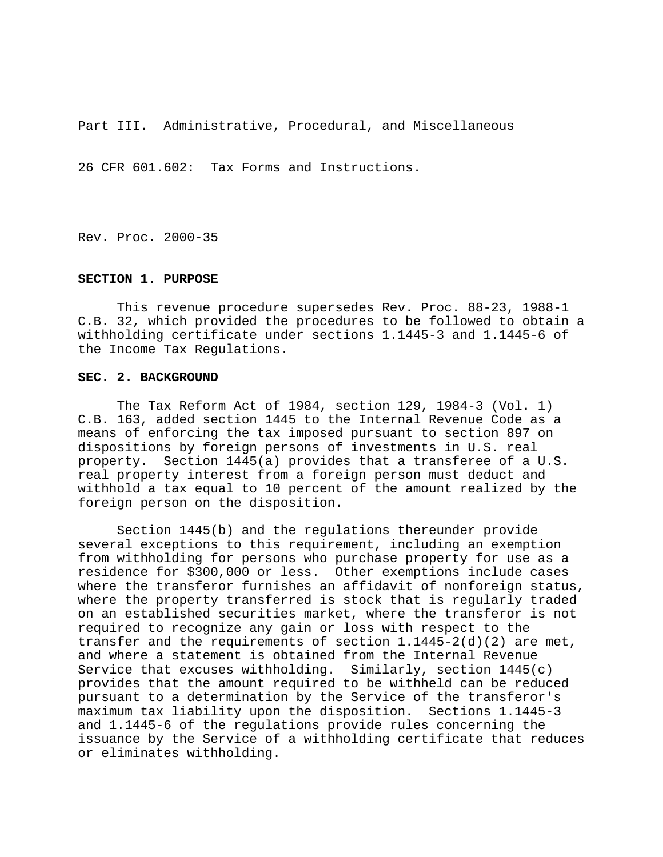Part III. Administrative, Procedural, and Miscellaneous

26 CFR 601.602: Tax Forms and Instructions.

Rev. Proc. 2000-35

## **SECTION 1. PURPOSE**

This revenue procedure supersedes Rev. Proc. 88-23, 1988-1 C.B. 32, which provided the procedures to be followed to obtain a withholding certificate under sections 1.1445-3 and 1.1445-6 of the Income Tax Regulations.

### **SEC. 2. BACKGROUND**

The Tax Reform Act of 1984, section 129, 1984-3 (Vol. 1) C.B. 163, added section 1445 to the Internal Revenue Code as a means of enforcing the tax imposed pursuant to section 897 on dispositions by foreign persons of investments in U.S. real property. Section 1445(a) provides that a transferee of a U.S. real property interest from a foreign person must deduct and withhold a tax equal to 10 percent of the amount realized by the foreign person on the disposition.

Section 1445(b) and the regulations thereunder provide several exceptions to this requirement, including an exemption from withholding for persons who purchase property for use as a residence for \$300,000 or less. Other exemptions include cases where the transferor furnishes an affidavit of nonforeign status, where the property transferred is stock that is regularly traded on an established securities market, where the transferor is not required to recognize any gain or loss with respect to the transfer and the requirements of section  $1.1445 - 2(d)(2)$  are met, and where a statement is obtained from the Internal Revenue Service that excuses withholding. Similarly, section  $1445(c)$ provides that the amount required to be withheld can be reduced pursuant to a determination by the Service of the transferor's maximum tax liability upon the disposition. Sections 1.1445-3 and 1.1445-6 of the regulations provide rules concerning the issuance by the Service of a withholding certificate that reduces or eliminates withholding.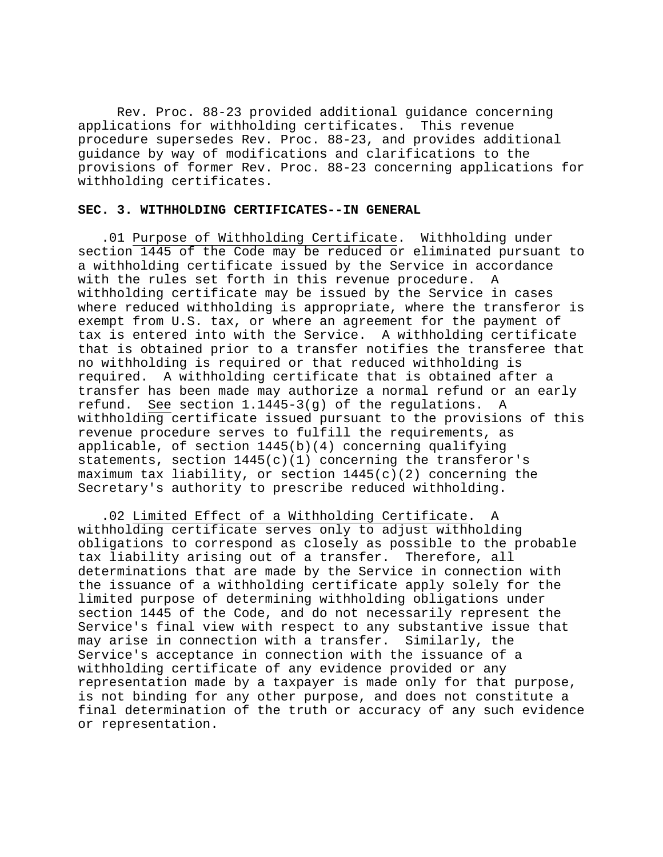Rev. Proc. 88-23 provided additional guidance concerning applications for withholding certificates. This revenue procedure supersedes Rev. Proc. 88-23, and provides additional guidance by way of modifications and clarifications to the provisions of former Rev. Proc. 88-23 concerning applications for withholding certificates.

### **SEC. 3. WITHHOLDING CERTIFICATES--IN GENERAL**

.01 Purpose of Withholding Certificate. Withholding under section 1445 of the Code may be reduced or eliminated pursuant to a withholding certificate issued by the Service in accordance with the rules set forth in this revenue procedure. A withholding certificate may be issued by the Service in cases where reduced withholding is appropriate, where the transferor is exempt from U.S. tax, or where an agreement for the payment of tax is entered into with the Service. A withholding certificate that is obtained prior to a transfer notifies the transferee that no withholding is required or that reduced withholding is required. A withholding certificate that is obtained after a transfer has been made may authorize a normal refund or an early refund. See section 1.1445-3(g) of the regulations. A withholding certificate issued pursuant to the provisions of this revenue procedure serves to fulfill the requirements, as applicable, of section 1445(b)(4) concerning qualifying statements, section  $1445(c)(1)$  concerning the transferor's maximum tax liability, or section 1445(c)(2) concerning the Secretary's authority to prescribe reduced withholding.

.02 Limited Effect of a Withholding Certificate. A withholding certificate serves only to adjust withholding obligations to correspond as closely as possible to the probable tax liability arising out of a transfer. Therefore, all determinations that are made by the Service in connection with the issuance of a withholding certificate apply solely for the limited purpose of determining withholding obligations under section 1445 of the Code, and do not necessarily represent the Service's final view with respect to any substantive issue that may arise in connection with a transfer. Similarly, the Service's acceptance in connection with the issuance of a withholding certificate of any evidence provided or any representation made by a taxpayer is made only for that purpose, is not binding for any other purpose, and does not constitute a final determination of the truth or accuracy of any such evidence or representation.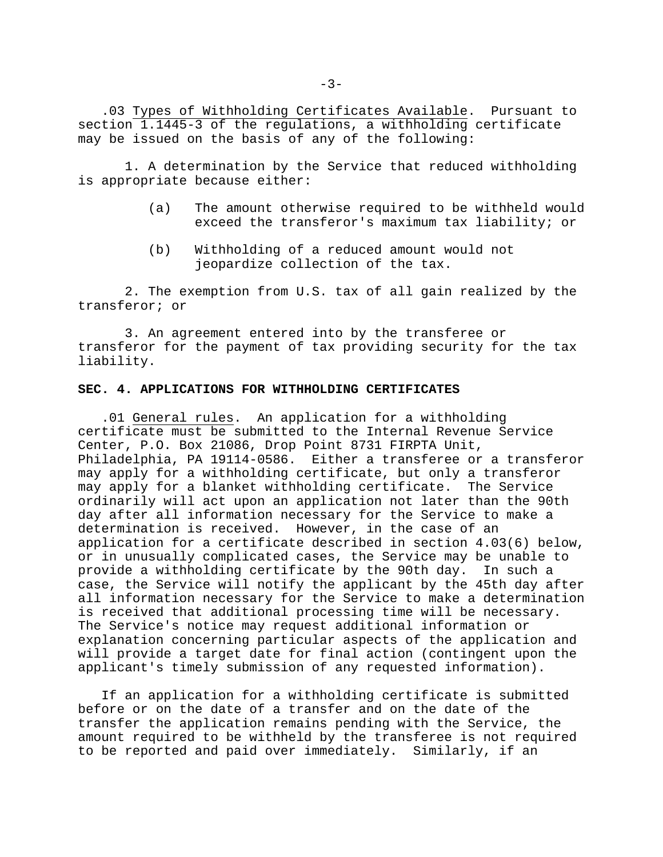.03 Types of Withholding Certificates Available. Pursuant to section 1.1445-3 of the regulations, a withholding certificate may be issued on the basis of any of the following:

1. A determination by the Service that reduced withholding is appropriate because either:

- (a) The amount otherwise required to be withheld would exceed the transferor's maximum tax liability; or
- (b) Withholding of a reduced amount would not jeopardize collection of the tax.

2. The exemption from U.S. tax of all gain realized by the transferor; or

3. An agreement entered into by the transferee or transferor for the payment of tax providing security for the tax liability.

### **SEC. 4. APPLICATIONS FOR WITHHOLDING CERTIFICATES**

.01 General rules. An application for a withholding certificate must be submitted to the Internal Revenue Service Center, P.O. Box 21086, Drop Point 8731 FIRPTA Unit, Philadelphia, PA 19114-0586. Either a transferee or a transferor may apply for a withholding certificate, but only a transferor may apply for a blanket withholding certificate. The Service ordinarily will act upon an application not later than the 90th day after all information necessary for the Service to make a determination is received. However, in the case of an application for a certificate described in section 4.03(6) below, or in unusually complicated cases, the Service may be unable to provide a withholding certificate by the 90th day. In such a case, the Service will notify the applicant by the 45th day after all information necessary for the Service to make a determination is received that additional processing time will be necessary. The Service's notice may request additional information or explanation concerning particular aspects of the application and will provide a target date for final action (contingent upon the applicant's timely submission of any requested information).

If an application for a withholding certificate is submitted before or on the date of a transfer and on the date of the transfer the application remains pending with the Service, the amount required to be withheld by the transferee is not required to be reported and paid over immediately. Similarly, if an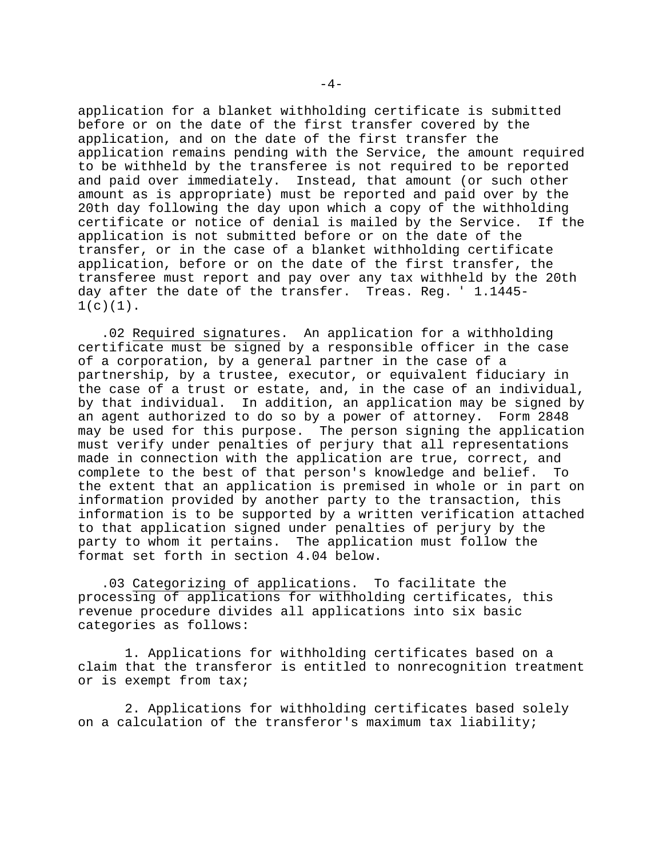application for a blanket withholding certificate is submitted before or on the date of the first transfer covered by the application, and on the date of the first transfer the application remains pending with the Service, the amount required to be withheld by the transferee is not required to be reported and paid over immediately. Instead, that amount (or such other amount as is appropriate) must be reported and paid over by the 20th day following the day upon which a copy of the withholding certificate or notice of denial is mailed by the Service. If the application is not submitted before or on the date of the transfer, or in the case of a blanket withholding certificate application, before or on the date of the first transfer, the transferee must report and pay over any tax withheld by the 20th day after the date of the transfer. Treas. Reg. ' 1.1445-  $1(c)(1)$ .

.02 Required signatures. An application for a withholding certificate must be signed by a responsible officer in the case of a corporation, by a general partner in the case of a partnership, by a trustee, executor, or equivalent fiduciary in the case of a trust or estate, and, in the case of an individual, by that individual. In addition, an application may be signed by an agent authorized to do so by a power of attorney. Form 2848 may be used for this purpose. The person signing the application must verify under penalties of perjury that all representations made in connection with the application are true, correct, and complete to the best of that person's knowledge and belief. To the extent that an application is premised in whole or in part on information provided by another party to the transaction, this information is to be supported by a written verification attached to that application signed under penalties of perjury by the party to whom it pertains. The application must follow the format set forth in section 4.04 below.

.03 Categorizing of applications. To facilitate the processing of applications for withholding certificates, this revenue procedure divides all applications into six basic categories as follows:

1. Applications for withholding certificates based on a claim that the transferor is entitled to nonrecognition treatment or is exempt from tax;

2. Applications for withholding certificates based solely on a calculation of the transferor's maximum tax liability;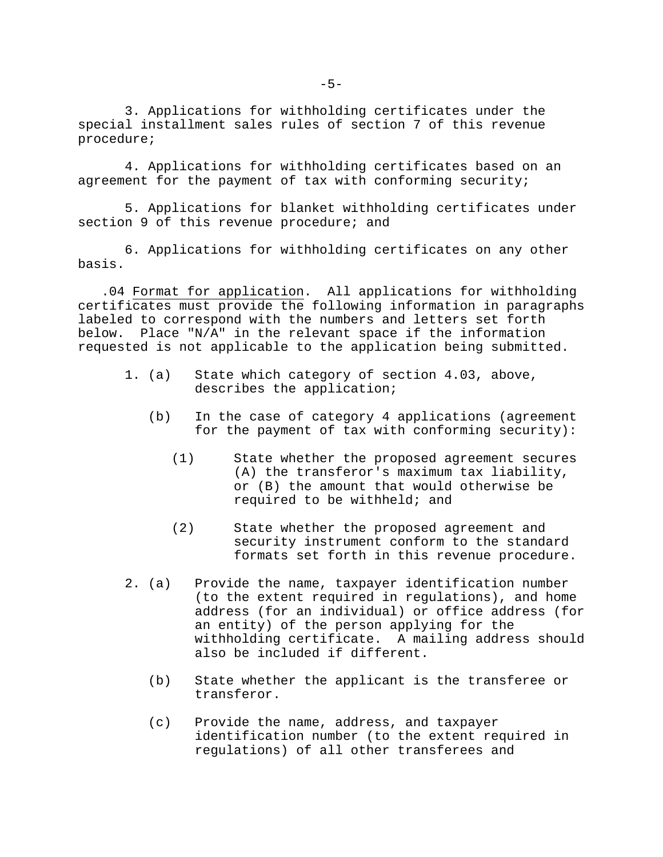3. Applications for withholding certificates under the special installment sales rules of section 7 of this revenue procedure;

4. Applications for withholding certificates based on an agreement for the payment of tax with conforming security;

5. Applications for blanket withholding certificates under section 9 of this revenue procedure; and

6. Applications for withholding certificates on any other basis.

.04 Format for application. All applications for withholding certificates must provide the following information in paragraphs labeled to correspond with the numbers and letters set forth below. Place "N/A" in the relevant space if the information requested is not applicable to the application being submitted.

- 1. (a) State which category of section 4.03, above, describes the application;
	- (b) In the case of category 4 applications (agreement for the payment of tax with conforming security):
		- (1) State whether the proposed agreement secures (A) the transferor's maximum tax liability, or (B) the amount that would otherwise be required to be withheld; and
		- (2) State whether the proposed agreement and security instrument conform to the standard formats set forth in this revenue procedure.
- 2. (a) Provide the name, taxpayer identification number (to the extent required in regulations), and home address (for an individual) or office address (for an entity) of the person applying for the withholding certificate. A mailing address should also be included if different.
	- (b) State whether the applicant is the transferee or transferor.
	- (c) Provide the name, address, and taxpayer identification number (to the extent required in regulations) of all other transferees and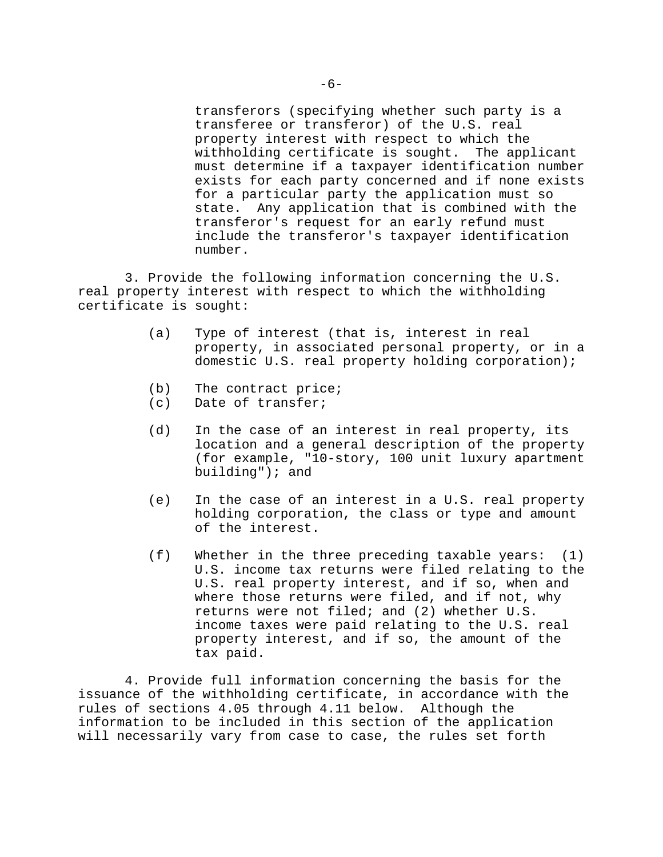transferors (specifying whether such party is a transferee or transferor) of the U.S. real property interest with respect to which the withholding certificate is sought. The applicant must determine if a taxpayer identification number exists for each party concerned and if none exists for a particular party the application must so state. Any application that is combined with the transferor's request for an early refund must include the transferor's taxpayer identification number.

3. Provide the following information concerning the U.S. real property interest with respect to which the withholding certificate is sought:

- (a) Type of interest (that is, interest in real property, in associated personal property, or in a domestic U.S. real property holding corporation);
- (b) The contract price;
- (c) Date of transfer;
- (d) In the case of an interest in real property, its location and a general description of the property (for example, "10-story, 100 unit luxury apartment building"); and
- (e) In the case of an interest in a U.S. real property holding corporation, the class or type and amount of the interest.
- (f) Whether in the three preceding taxable years: (1) U.S. income tax returns were filed relating to the U.S. real property interest, and if so, when and where those returns were filed, and if not, why returns were not filed; and (2) whether U.S. income taxes were paid relating to the U.S. real property interest, and if so, the amount of the tax paid.

4. Provide full information concerning the basis for the issuance of the withholding certificate, in accordance with the rules of sections 4.05 through 4.11 below. Although the information to be included in this section of the application will necessarily vary from case to case, the rules set forth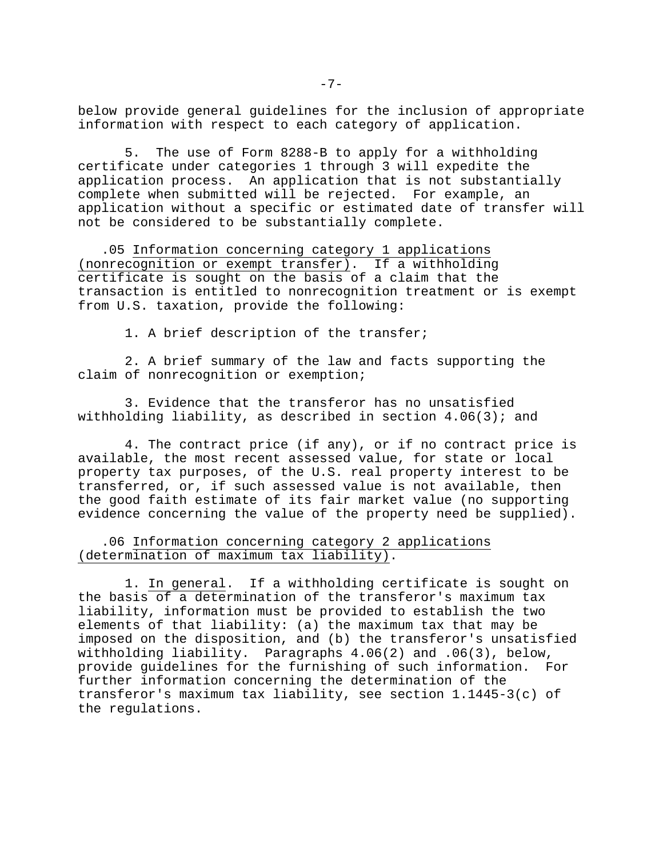below provide general guidelines for the inclusion of appropriate information with respect to each category of application.

5. The use of Form 8288-B to apply for a withholding certificate under categories 1 through 3 will expedite the application process. An application that is not substantially complete when submitted will be rejected. For example, an application without a specific or estimated date of transfer will not be considered to be substantially complete.

.05 Information concerning category 1 applications (nonrecognition or exempt transfer). If a withholding certificate is sought on the basis of a claim that the transaction is entitled to nonrecognition treatment or is exempt from U.S. taxation, provide the following:

1. A brief description of the transfer;

2. A brief summary of the law and facts supporting the claim of nonrecognition or exemption;

3. Evidence that the transferor has no unsatisfied withholding liability, as described in section  $4.06(3)$ ; and

4. The contract price (if any), or if no contract price is available, the most recent assessed value, for state or local property tax purposes, of the U.S. real property interest to be transferred, or, if such assessed value is not available, then the good faith estimate of its fair market value (no supporting evidence concerning the value of the property need be supplied).

# .06 Information concerning category 2 applications (determination of maximum tax liability).

1. In general. If a withholding certificate is sought on the basis of a determination of the transferor's maximum tax liability, information must be provided to establish the two elements of that liability: (a) the maximum tax that may be imposed on the disposition, and (b) the transferor's unsatisfied withholding liability. Paragraphs 4.06(2) and .06(3), below, provide guidelines for the furnishing of such information. For further information concerning the determination of the transferor's maximum tax liability, see section 1.1445-3(c) of the regulations.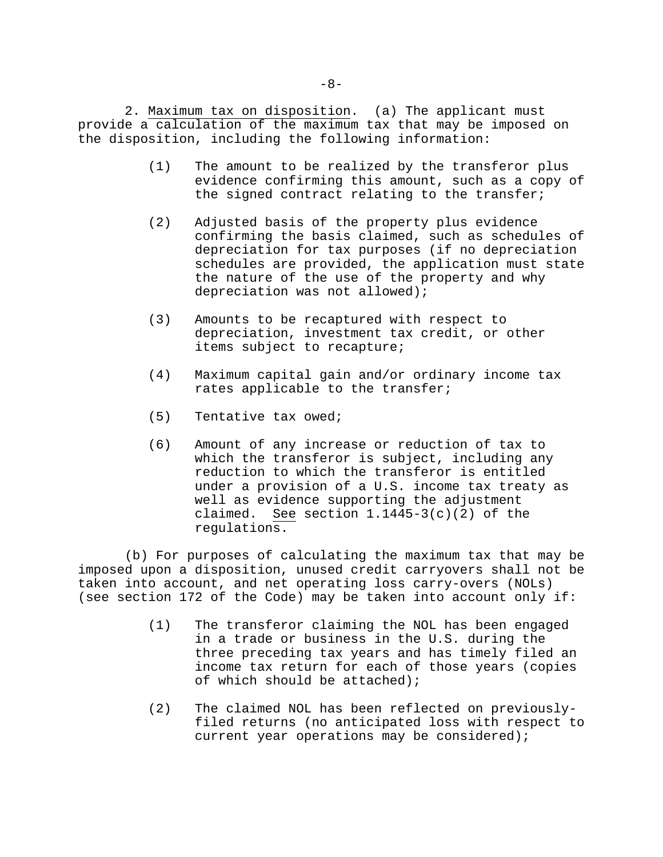2. Maximum tax on disposition. (a) The applicant must provide a calculation of the maximum tax that may be imposed on the disposition, including the following information:

- (1) The amount to be realized by the transferor plus evidence confirming this amount, such as a copy of the signed contract relating to the transfer;
- (2) Adjusted basis of the property plus evidence confirming the basis claimed, such as schedules of depreciation for tax purposes (if no depreciation schedules are provided, the application must state the nature of the use of the property and why depreciation was not allowed);
- (3) Amounts to be recaptured with respect to depreciation, investment tax credit, or other items subject to recapture;
- (4) Maximum capital gain and/or ordinary income tax rates applicable to the transfer;
- (5) Tentative tax owed;
- (6) Amount of any increase or reduction of tax to which the transferor is subject, including any reduction to which the transferor is entitled under a provision of a U.S. income tax treaty as well as evidence supporting the adjustment claimed. See section  $1.1445-3(c)(2)$  of the regulations.

(b) For purposes of calculating the maximum tax that may be imposed upon a disposition, unused credit carryovers shall not be taken into account, and net operating loss carry-overs (NOLs) (see section 172 of the Code) may be taken into account only if:

- (1) The transferor claiming the NOL has been engaged in a trade or business in the U.S. during the three preceding tax years and has timely filed an income tax return for each of those years (copies of which should be attached);
- (2) The claimed NOL has been reflected on previouslyfiled returns (no anticipated loss with respect to current year operations may be considered);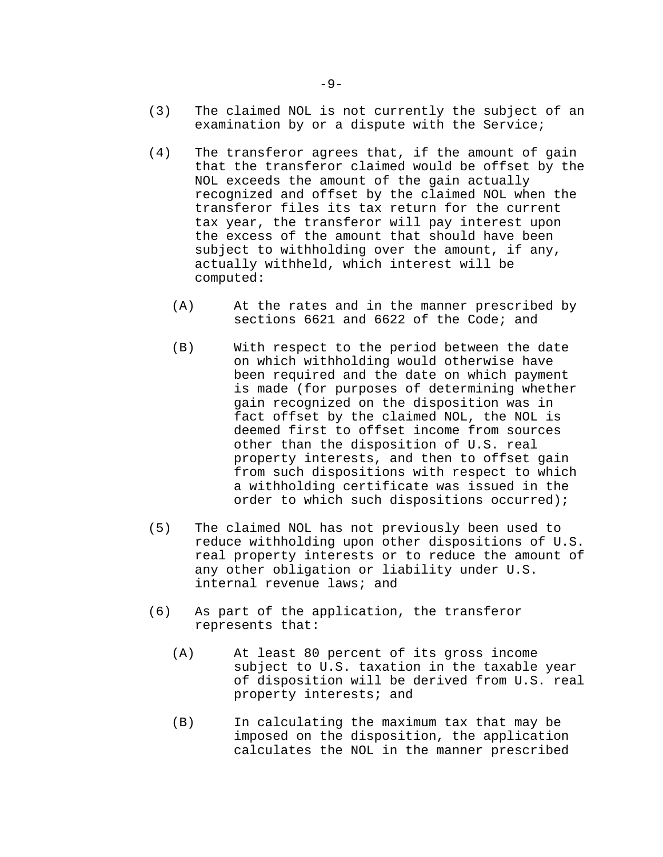- (3) The claimed NOL is not currently the subject of an examination by or a dispute with the Service;
- (4) The transferor agrees that, if the amount of gain that the transferor claimed would be offset by the NOL exceeds the amount of the gain actually recognized and offset by the claimed NOL when the transferor files its tax return for the current tax year, the transferor will pay interest upon the excess of the amount that should have been subject to withholding over the amount, if any, actually withheld, which interest will be computed:
	- (A) At the rates and in the manner prescribed by sections 6621 and 6622 of the Code; and
	- (B) With respect to the period between the date on which withholding would otherwise have been required and the date on which payment is made (for purposes of determining whether gain recognized on the disposition was in fact offset by the claimed NOL, the NOL is deemed first to offset income from sources other than the disposition of U.S. real property interests, and then to offset gain from such dispositions with respect to which a withholding certificate was issued in the order to which such dispositions occurred);
- (5) The claimed NOL has not previously been used to reduce withholding upon other dispositions of U.S. real property interests or to reduce the amount of any other obligation or liability under U.S. internal revenue laws; and
- (6) As part of the application, the transferor represents that:
	- (A) At least 80 percent of its gross income subject to U.S. taxation in the taxable year of disposition will be derived from U.S. real property interests; and
	- (B) In calculating the maximum tax that may be imposed on the disposition, the application calculates the NOL in the manner prescribed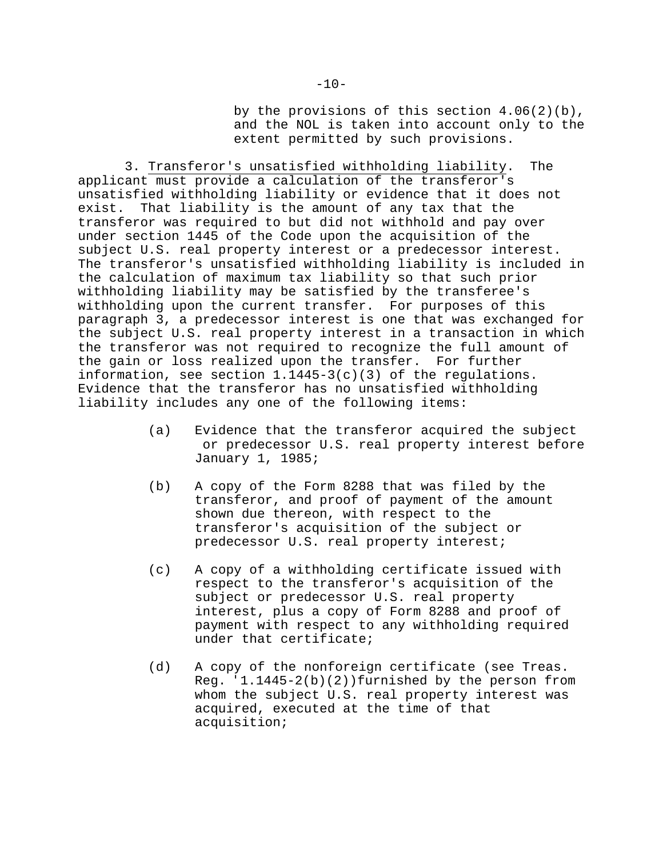by the provisions of this section 4.06(2)(b), and the NOL is taken into account only to the extent permitted by such provisions.

3. Transferor's unsatisfied withholding liability. The applicant must provide a calculation of the transferor's unsatisfied withholding liability or evidence that it does not exist. That liability is the amount of any tax that the transferor was required to but did not withhold and pay over under section 1445 of the Code upon the acquisition of the subject U.S. real property interest or a predecessor interest. The transferor's unsatisfied withholding liability is included in the calculation of maximum tax liability so that such prior withholding liability may be satisfied by the transferee's withholding upon the current transfer. For purposes of this paragraph 3, a predecessor interest is one that was exchanged for the subject U.S. real property interest in a transaction in which the transferor was not required to recognize the full amount of the gain or loss realized upon the transfer. For further information, see section 1.1445-3(c)(3) of the regulations. Evidence that the transferor has no unsatisfied withholding liability includes any one of the following items:

- (a) Evidence that the transferor acquired the subject or predecessor U.S. real property interest before January 1, 1985;
- (b) A copy of the Form 8288 that was filed by the transferor, and proof of payment of the amount shown due thereon, with respect to the transferor's acquisition of the subject or predecessor U.S. real property interest;
- (c) A copy of a withholding certificate issued with respect to the transferor's acquisition of the subject or predecessor U.S. real property interest, plus a copy of Form 8288 and proof of payment with respect to any withholding required under that certificate;
- (d) A copy of the nonforeign certificate (see Treas. Reg. '1.1445-2(b)(2))furnished by the person from whom the subject U.S. real property interest was acquired, executed at the time of that acquisition;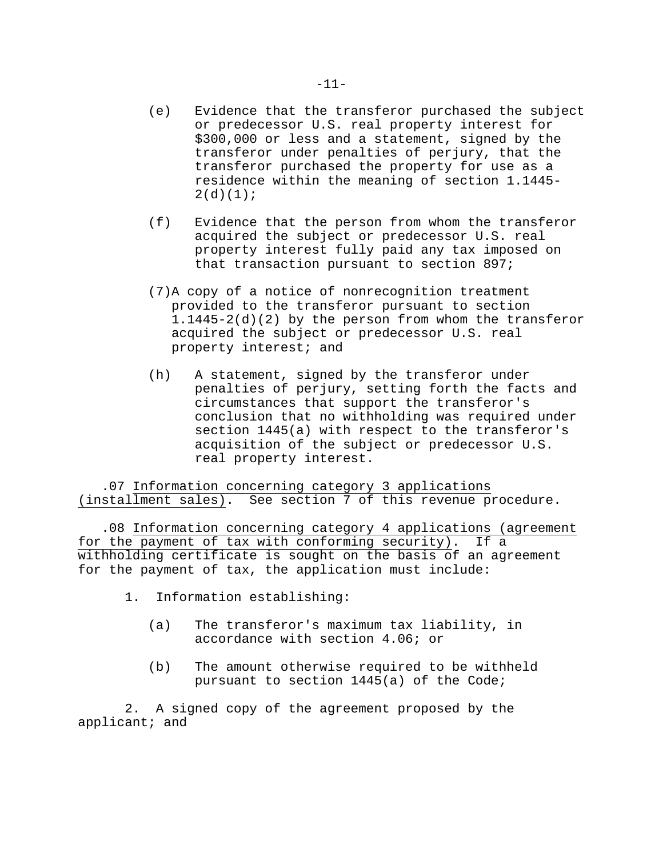- (e) Evidence that the transferor purchased the subject or predecessor U.S. real property interest for \$300,000 or less and a statement, signed by the transferor under penalties of perjury, that the transferor purchased the property for use as a residence within the meaning of section 1.1445-  $2(d)(1)$ ;
- (f) Evidence that the person from whom the transferor acquired the subject or predecessor U.S. real property interest fully paid any tax imposed on that transaction pursuant to section 897;
- (7)A copy of a notice of nonrecognition treatment provided to the transferor pursuant to section 1.1445-2(d)(2) by the person from whom the transferor acquired the subject or predecessor U.S. real property interest; and
- (h) A statement, signed by the transferor under penalties of perjury, setting forth the facts and circumstances that support the transferor's conclusion that no withholding was required under section 1445(a) with respect to the transferor's acquisition of the subject or predecessor U.S. real property interest.

.07 Information concerning category 3 applications (installment sales). See section 7 of this revenue procedure.

.08 Information concerning category 4 applications (agreement for the payment of tax with conforming security). If a withholding certificate is sought on the basis of an agreement for the payment of tax, the application must include:

- 1. Information establishing:
	- (a) The transferor's maximum tax liability, in accordance with section 4.06; or
	- (b) The amount otherwise required to be withheld pursuant to section 1445(a) of the Code;

2. A signed copy of the agreement proposed by the applicant; and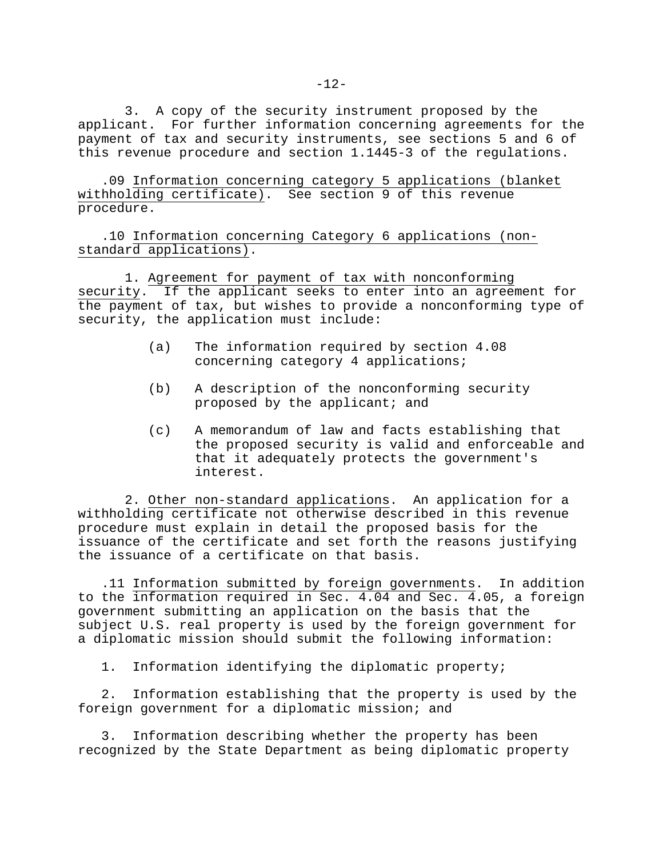3. A copy of the security instrument proposed by the applicant. For further information concerning agreements for the payment of tax and security instruments, see sections 5 and 6 of this revenue procedure and section 1.1445-3 of the regulations.

.09 Information concerning category 5 applications (blanket withholding certificate). See section 9 of this revenue procedure.

.10 Information concerning Category 6 applications (nonstandard applications).

1. Agreement for payment of tax with nonconforming security. If the applicant seeks to enter into an agreement for the payment of tax, but wishes to provide a nonconforming type of security, the application must include:

- (a) The information required by section 4.08 concerning category 4 applications;
- (b) A description of the nonconforming security proposed by the applicant; and
- (c) A memorandum of law and facts establishing that the proposed security is valid and enforceable and that it adequately protects the government's interest.

2. Other non-standard applications. An application for a withholding certificate not otherwise described in this revenue procedure must explain in detail the proposed basis for the issuance of the certificate and set forth the reasons justifying the issuance of a certificate on that basis.

.11 Information submitted by foreign governments. In addition to the information required in Sec. 4.04 and Sec. 4.05, a foreign government submitting an application on the basis that the subject U.S. real property is used by the foreign government for a diplomatic mission should submit the following information:

1. Information identifying the diplomatic property;

2. Information establishing that the property is used by the foreign government for a diplomatic mission; and

3. Information describing whether the property has been recognized by the State Department as being diplomatic property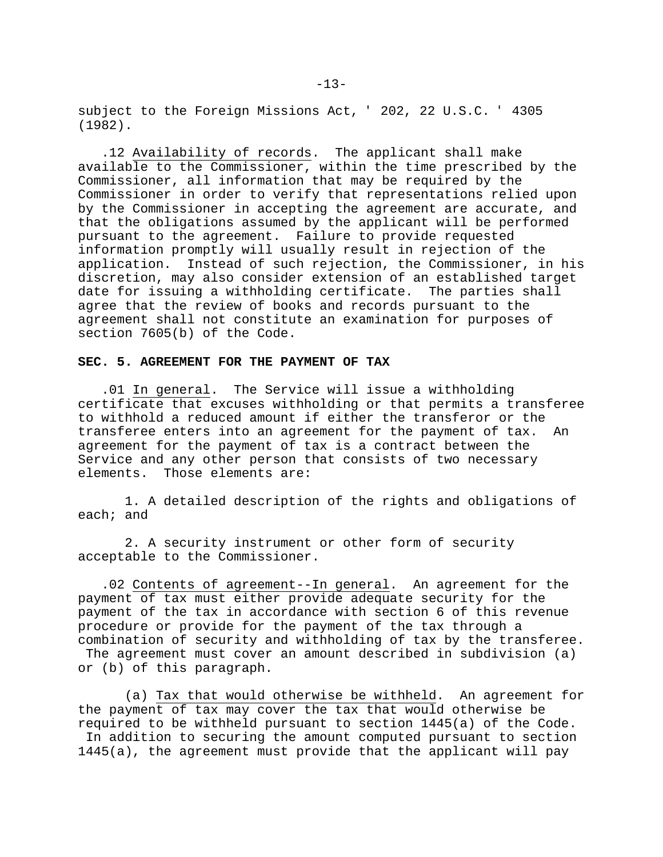subject to the Foreign Missions Act, ' 202, 22 U.S.C. ' 4305 (1982).

.12 Availability of records. The applicant shall make available to the Commissioner, within the time prescribed by the Commissioner, all information that may be required by the Commissioner in order to verify that representations relied upon by the Commissioner in accepting the agreement are accurate, and that the obligations assumed by the applicant will be performed pursuant to the agreement. Failure to provide requested information promptly will usually result in rejection of the application. Instead of such rejection, the Commissioner, in his discretion, may also consider extension of an established target date for issuing a withholding certificate. The parties shall agree that the review of books and records pursuant to the agreement shall not constitute an examination for purposes of section 7605(b) of the Code.

#### **SEC. 5. AGREEMENT FOR THE PAYMENT OF TAX**

.01 In general. The Service will issue a withholding certificate that excuses withholding or that permits a transferee to withhold a reduced amount if either the transferor or the transferee enters into an agreement for the payment of tax. An agreement for the payment of tax is a contract between the Service and any other person that consists of two necessary elements. Those elements are:

1. A detailed description of the rights and obligations of each; and

2. A security instrument or other form of security acceptable to the Commissioner.

.02 Contents of agreement--In general. An agreement for the payment of tax must either provide adequate security for the payment of the tax in accordance with section 6 of this revenue procedure or provide for the payment of the tax through a combination of security and withholding of tax by the transferee.

The agreement must cover an amount described in subdivision (a) or (b) of this paragraph.

(a) Tax that would otherwise be withheld. An agreement for the payment of tax may cover the tax that would otherwise be required to be withheld pursuant to section 1445(a) of the Code. In addition to securing the amount computed pursuant to section 1445(a), the agreement must provide that the applicant will pay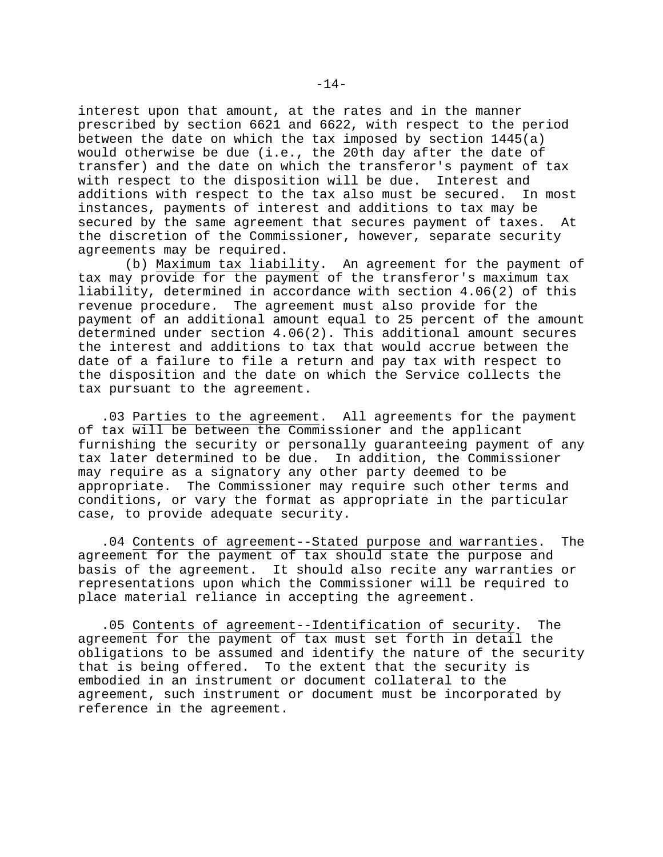interest upon that amount, at the rates and in the manner prescribed by section 6621 and 6622, with respect to the period between the date on which the tax imposed by section  $1445(a)$ would otherwise be due (i.e., the 20th day after the date of transfer) and the date on which the transferor's payment of tax with respect to the disposition will be due. Interest and additions with respect to the tax also must be secured. In most instances, payments of interest and additions to tax may be secured by the same agreement that secures payment of taxes. At the discretion of the Commissioner, however, separate security agreements may be required.

(b) Maximum tax liability. An agreement for the payment of tax may provide for the payment of the transferor's maximum tax liability, determined in accordance with section 4.06(2) of this revenue procedure. The agreement must also provide for the payment of an additional amount equal to 25 percent of the amount determined under section 4.06(2). This additional amount secures the interest and additions to tax that would accrue between the date of a failure to file a return and pay tax with respect to the disposition and the date on which the Service collects the tax pursuant to the agreement.

.03 Parties to the agreement. All agreements for the payment of tax will be between the Commissioner and the applicant furnishing the security or personally guaranteeing payment of any tax later determined to be due. In addition, the Commissioner may require as a signatory any other party deemed to be appropriate. The Commissioner may require such other terms and conditions, or vary the format as appropriate in the particular case, to provide adequate security.

.04 Contents of agreement--Stated purpose and warranties. The agreement for the payment of tax should state the purpose and basis of the agreement. It should also recite any warranties or representations upon which the Commissioner will be required to place material reliance in accepting the agreement.

.05 Contents of agreement--Identification of security. The agreement for the payment of tax must set forth in detail the obligations to be assumed and identify the nature of the security that is being offered. To the extent that the security is embodied in an instrument or document collateral to the agreement, such instrument or document must be incorporated by reference in the agreement.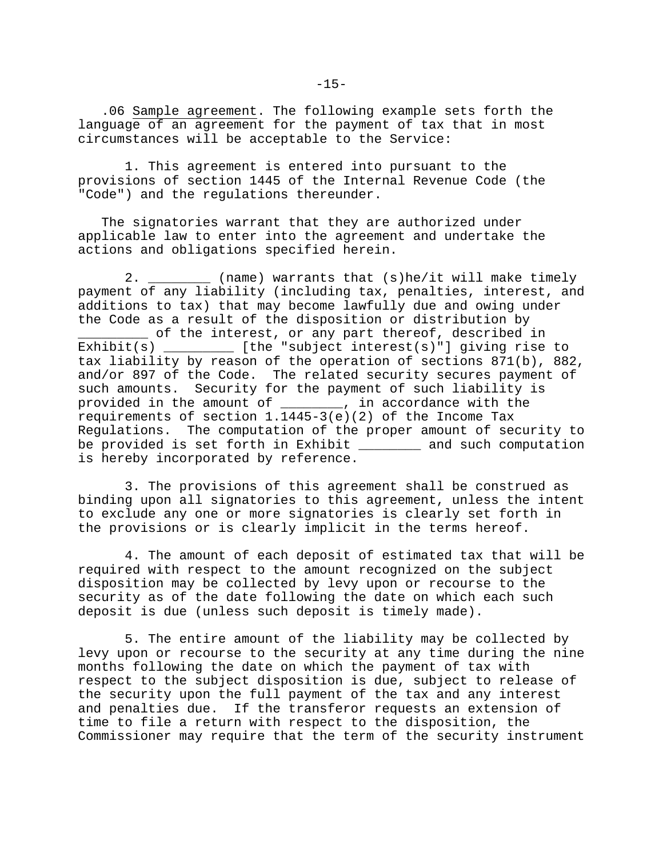.06 Sample agreement. The following example sets forth the language of an agreement for the payment of tax that in most circumstances will be acceptable to the Service:

1. This agreement is entered into pursuant to the provisions of section 1445 of the Internal Revenue Code (the "Code") and the regulations thereunder.

The signatories warrant that they are authorized under applicable law to enter into the agreement and undertake the actions and obligations specified herein.

2. \_\_\_\_\_\_\_\_ (name) warrants that (s)he/it will make timely payment of any liability (including tax, penalties, interest, and additions to tax) that may become lawfully due and owing under the Code as a result of the disposition or distribution by \_\_\_\_\_\_\_\_\_ of the interest, or any part thereof, described in Exhibit(s)  $[the "subject interest(s)"]$  giving rise to tax liability by reason of the operation of sections 871(b), 882, and/or 897 of the Code. The related security secures payment of such amounts. Security for the payment of such liability is provided in the amount of \_\_\_\_\_\_\_\_, in accordance with the requirements of section 1.1445-3(e)(2) of the Income Tax Regulations. The computation of the proper amount of security to be provided is set forth in Exhibit and such computation is hereby incorporated by reference.

3. The provisions of this agreement shall be construed as binding upon all signatories to this agreement, unless the intent to exclude any one or more signatories is clearly set forth in the provisions or is clearly implicit in the terms hereof.

4. The amount of each deposit of estimated tax that will be required with respect to the amount recognized on the subject disposition may be collected by levy upon or recourse to the security as of the date following the date on which each such deposit is due (unless such deposit is timely made).

5. The entire amount of the liability may be collected by levy upon or recourse to the security at any time during the nine months following the date on which the payment of tax with respect to the subject disposition is due, subject to release of the security upon the full payment of the tax and any interest and penalties due. If the transferor requests an extension of time to file a return with respect to the disposition, the Commissioner may require that the term of the security instrument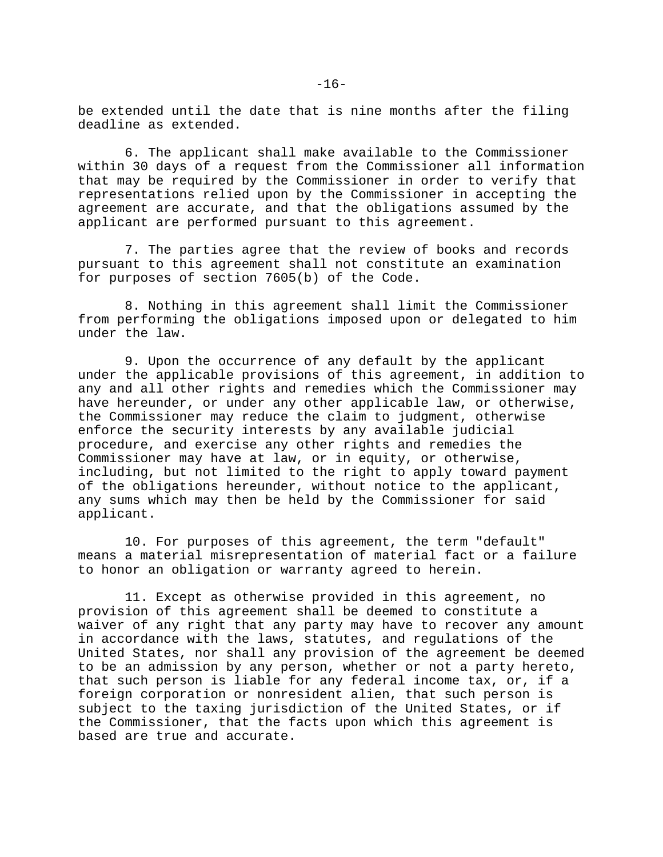be extended until the date that is nine months after the filing deadline as extended.

6. The applicant shall make available to the Commissioner within 30 days of a request from the Commissioner all information that may be required by the Commissioner in order to verify that representations relied upon by the Commissioner in accepting the agreement are accurate, and that the obligations assumed by the applicant are performed pursuant to this agreement.

7. The parties agree that the review of books and records pursuant to this agreement shall not constitute an examination for purposes of section 7605(b) of the Code.

8. Nothing in this agreement shall limit the Commissioner from performing the obligations imposed upon or delegated to him under the law.

9. Upon the occurrence of any default by the applicant under the applicable provisions of this agreement, in addition to any and all other rights and remedies which the Commissioner may have hereunder, or under any other applicable law, or otherwise, the Commissioner may reduce the claim to judgment, otherwise enforce the security interests by any available judicial procedure, and exercise any other rights and remedies the Commissioner may have at law, or in equity, or otherwise, including, but not limited to the right to apply toward payment of the obligations hereunder, without notice to the applicant, any sums which may then be held by the Commissioner for said applicant.

10. For purposes of this agreement, the term "default" means a material misrepresentation of material fact or a failure to honor an obligation or warranty agreed to herein.

11. Except as otherwise provided in this agreement, no provision of this agreement shall be deemed to constitute a waiver of any right that any party may have to recover any amount in accordance with the laws, statutes, and regulations of the United States, nor shall any provision of the agreement be deemed to be an admission by any person, whether or not a party hereto, that such person is liable for any federal income tax, or, if a foreign corporation or nonresident alien, that such person is subject to the taxing jurisdiction of the United States, or if the Commissioner, that the facts upon which this agreement is based are true and accurate.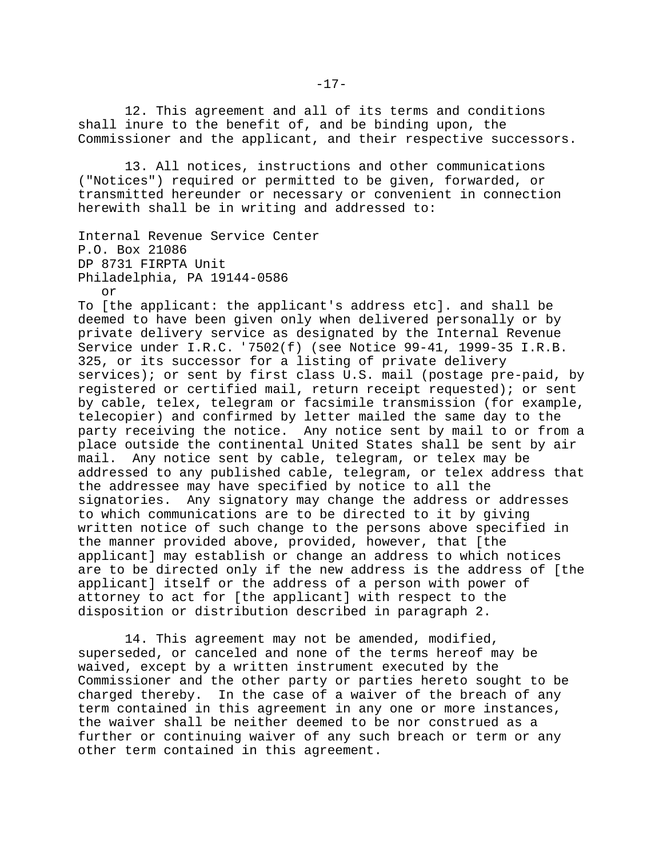12. This agreement and all of its terms and conditions shall inure to the benefit of, and be binding upon, the Commissioner and the applicant, and their respective successors.

13. All notices, instructions and other communications ("Notices") required or permitted to be given, forwarded, or transmitted hereunder or necessary or convenient in connection herewith shall be in writing and addressed to:

```
Internal Revenue Service Center
P.O. Box 21086
DP 8731 FIRPTA Unit
Philadelphia, PA 19144-0586
   or
```
To [the applicant: the applicant's address etc]. and shall be deemed to have been given only when delivered personally or by private delivery service as designated by the Internal Revenue Service under I.R.C. '7502(f) (see Notice 99-41, 1999-35 I.R.B. 325, or its successor for a listing of private delivery services); or sent by first class U.S. mail (postage pre-paid, by registered or certified mail, return receipt requested); or sent by cable, telex, telegram or facsimile transmission (for example, telecopier) and confirmed by letter mailed the same day to the party receiving the notice. Any notice sent by mail to or from a place outside the continental United States shall be sent by air mail. Any notice sent by cable, telegram, or telex may be addressed to any published cable, telegram, or telex address that the addressee may have specified by notice to all the signatories. Any signatory may change the address or addresses to which communications are to be directed to it by giving written notice of such change to the persons above specified in the manner provided above, provided, however, that [the applicant] may establish or change an address to which notices are to be directed only if the new address is the address of [the applicant] itself or the address of a person with power of attorney to act for [the applicant] with respect to the disposition or distribution described in paragraph 2.

14. This agreement may not be amended, modified, superseded, or canceled and none of the terms hereof may be waived, except by a written instrument executed by the Commissioner and the other party or parties hereto sought to be charged thereby. In the case of a waiver of the breach of any term contained in this agreement in any one or more instances, the waiver shall be neither deemed to be nor construed as a further or continuing waiver of any such breach or term or any other term contained in this agreement.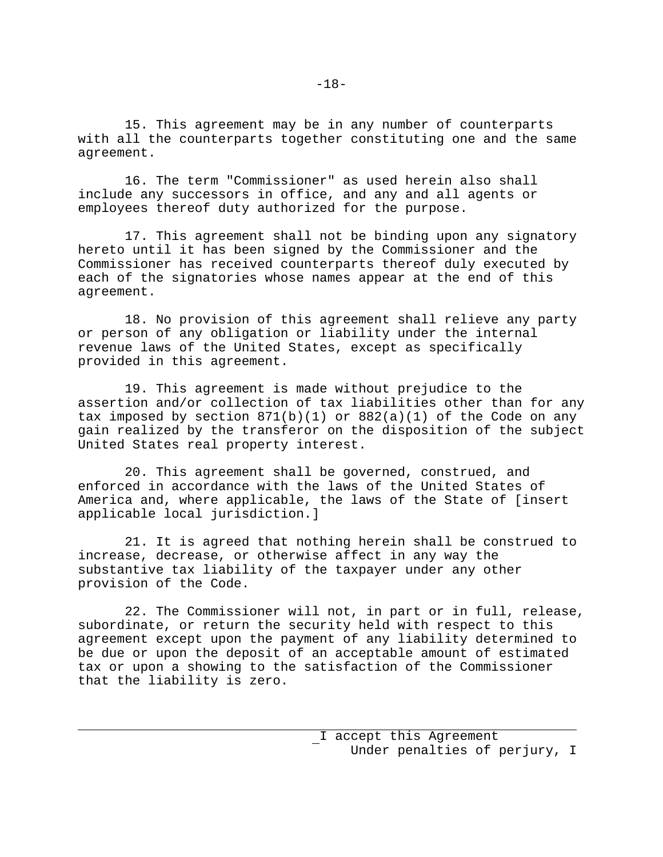15. This agreement may be in any number of counterparts with all the counterparts together constituting one and the same agreement.

16. The term "Commissioner" as used herein also shall include any successors in office, and any and all agents or employees thereof duty authorized for the purpose.

17. This agreement shall not be binding upon any signatory hereto until it has been signed by the Commissioner and the Commissioner has received counterparts thereof duly executed by each of the signatories whose names appear at the end of this agreement.

18. No provision of this agreement shall relieve any party or person of any obligation or liability under the internal revenue laws of the United States, except as specifically provided in this agreement.

19. This agreement is made without prejudice to the assertion and/or collection of tax liabilities other than for any tax imposed by section  $871(b)(1)$  or  $882(a)(1)$  of the Code on any gain realized by the transferor on the disposition of the subject United States real property interest.

20. This agreement shall be governed, construed, and enforced in accordance with the laws of the United States of America and, where applicable, the laws of the State of [insert applicable local jurisdiction.]

21. It is agreed that nothing herein shall be construed to increase, decrease, or otherwise affect in any way the substantive tax liability of the taxpayer under any other provision of the Code.

22. The Commissioner will not, in part or in full, release, subordinate, or return the security held with respect to this agreement except upon the payment of any liability determined to be due or upon the deposit of an acceptable amount of estimated tax or upon a showing to the satisfaction of the Commissioner that the liability is zero.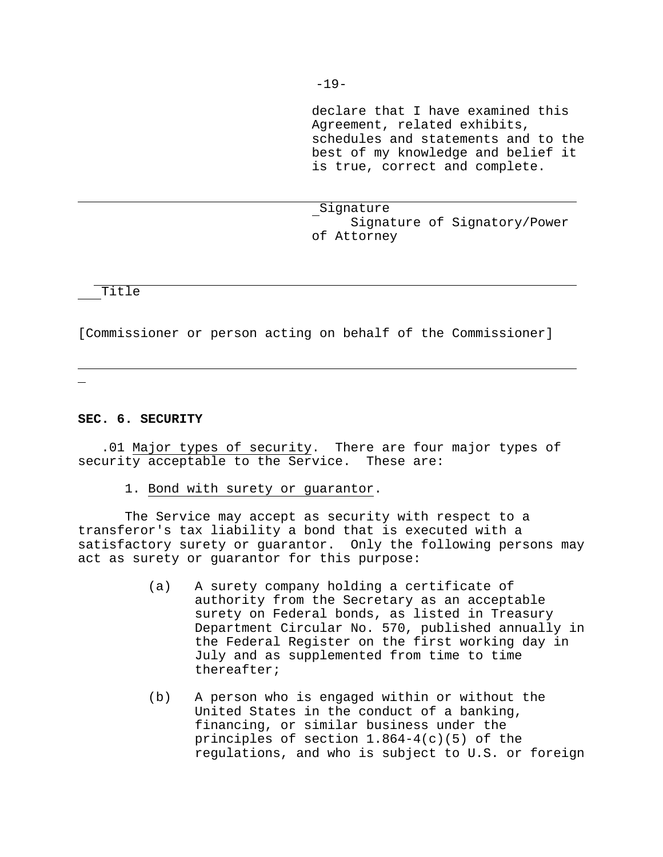declare that I have examined this Agreement, related exhibits, schedules and statements and to the best of my knowledge and belief it is true, correct and complete.

Signature Signature of Signatory/Power of Attorney

Title

[Commissioner or person acting on behalf of the Commissioner]

## **SEC. 6. SECURITY**

.01 Major types of security. There are four major types of security acceptable to the Service. These are:

1. Bond with surety or guarantor.

The Service may accept as security with respect to a transferor's tax liability a bond that is executed with a satisfactory surety or guarantor. Only the following persons may act as surety or guarantor for this purpose:

- (a) A surety company holding a certificate of authority from the Secretary as an acceptable surety on Federal bonds, as listed in Treasury Department Circular No. 570, published annually in the Federal Register on the first working day in July and as supplemented from time to time thereafter;
- (b) A person who is engaged within or without the United States in the conduct of a banking, financing, or similar business under the principles of section 1.864-4(c)(5) of the regulations, and who is subject to U.S. or foreign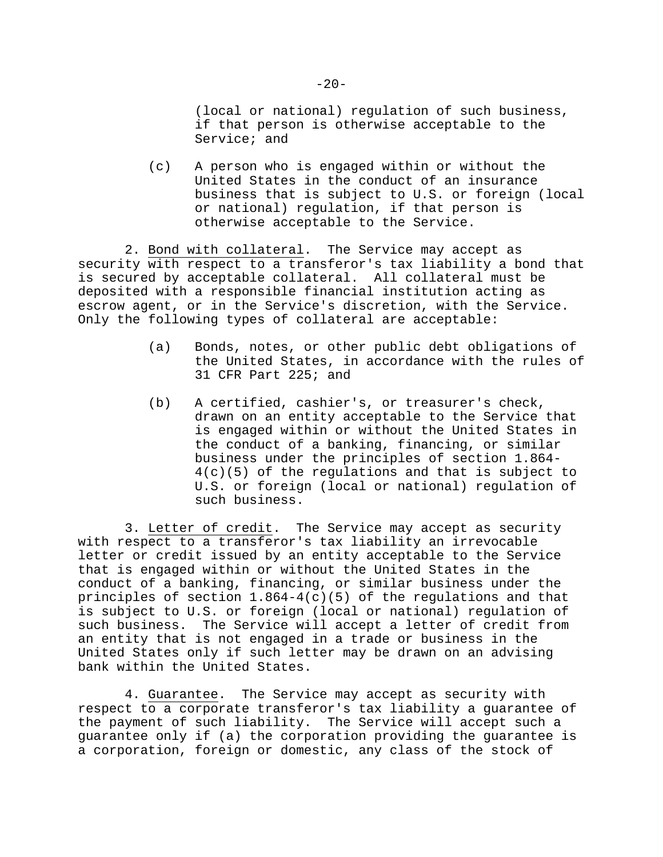(local or national) regulation of such business, if that person is otherwise acceptable to the Service; and

(c) A person who is engaged within or without the United States in the conduct of an insurance business that is subject to U.S. or foreign (local or national) regulation, if that person is otherwise acceptable to the Service.

2. Bond with collateral. The Service may accept as security with respect to a transferor's tax liability a bond that is secured by acceptable collateral. All collateral must be deposited with a responsible financial institution acting as escrow agent, or in the Service's discretion, with the Service. Only the following types of collateral are acceptable:

- (a) Bonds, notes, or other public debt obligations of the United States, in accordance with the rules of 31 CFR Part 225; and
- (b) A certified, cashier's, or treasurer's check, drawn on an entity acceptable to the Service that is engaged within or without the United States in the conduct of a banking, financing, or similar business under the principles of section 1.864- 4(c)(5) of the regulations and that is subject to U.S. or foreign (local or national) regulation of such business.

3. Letter of credit. The Service may accept as security with respect to a transferor's tax liability an irrevocable letter or credit issued by an entity acceptable to the Service that is engaged within or without the United States in the conduct of a banking, financing, or similar business under the principles of section  $1.864-4(c)(5)$  of the regulations and that is subject to U.S. or foreign (local or national) regulation of such business. The Service will accept a letter of credit from an entity that is not engaged in a trade or business in the United States only if such letter may be drawn on an advising bank within the United States.

4. Guarantee. The Service may accept as security with respect to a corporate transferor's tax liability a guarantee of the payment of such liability. The Service will accept such a guarantee only if (a) the corporation providing the guarantee is a corporation, foreign or domestic, any class of the stock of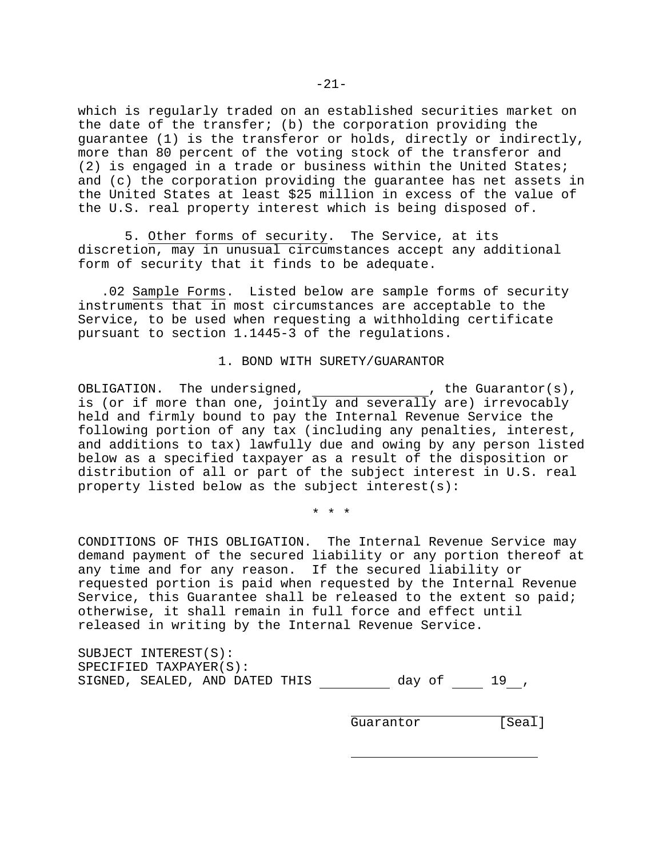which is regularly traded on an established securities market on the date of the transfer; (b) the corporation providing the guarantee (1) is the transferor or holds, directly or indirectly, more than 80 percent of the voting stock of the transferor and (2) is engaged in a trade or business within the United States; and (c) the corporation providing the guarantee has net assets in the United States at least \$25 million in excess of the value of the U.S. real property interest which is being disposed of.

5. Other forms of security. The Service, at its discretion, may in unusual circumstances accept any additional form of security that it finds to be adequate.

.02 Sample Forms. Listed below are sample forms of security instruments that in most circumstances are acceptable to the Service, to be used when requesting a withholding certificate pursuant to section 1.1445-3 of the regulations.

1. BOND WITH SURETY/GUARANTOR

OBLIGATION. The undersigned,  $\blacksquare$ , the Guarantor(s), is (or if more than one, jointly and severally are) irrevocably held and firmly bound to pay the Internal Revenue Service the following portion of any tax (including any penalties, interest, and additions to tax) lawfully due and owing by any person listed below as a specified taxpayer as a result of the disposition or distribution of all or part of the subject interest in U.S. real property listed below as the subject interest(s):

\*\*\*

CONDITIONS OF THIS OBLIGATION. The Internal Revenue Service may demand payment of the secured liability or any portion thereof at any time and for any reason. If the secured liability or requested portion is paid when requested by the Internal Revenue Service, this Guarantee shall be released to the extent so paid; otherwise, it shall remain in full force and effect until released in writing by the Internal Revenue Service.

SUBJECT INTEREST(S): SPECIFIED TAXPAYER(S): SIGNED, SEALED, AND DATED THIS  $day \circ f$  19,

Guarantor [Seal]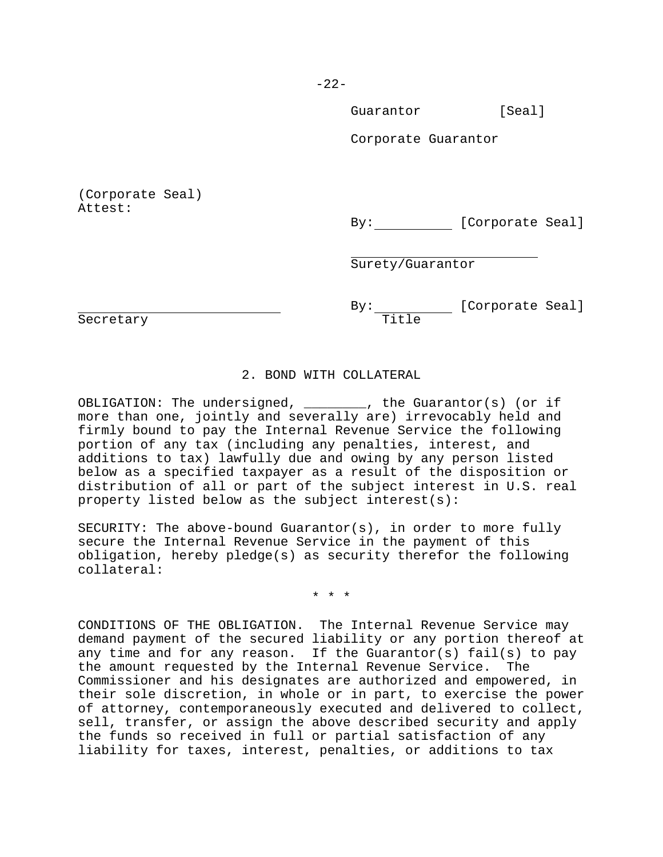-22-

Guarantor [Seal]

Corporate Guarantor

(Corporate Seal) Attest:

By: [Corporate Seal]

Surety/Guarantor

Secretary **Title** 

By: [Corporate Seal]

# 2. BOND WITH COLLATERAL

OBLIGATION: The undersigned, \_\_\_\_\_\_\_\_, the Guarantor(s) (or if more than one, jointly and severally are) irrevocably held and firmly bound to pay the Internal Revenue Service the following portion of any tax (including any penalties, interest, and additions to tax) lawfully due and owing by any person listed below as a specified taxpayer as a result of the disposition or distribution of all or part of the subject interest in U.S. real property listed below as the subject interest(s):

SECURITY: The above-bound Guarantor(s), in order to more fully secure the Internal Revenue Service in the payment of this obligation, hereby pledge(s) as security therefor the following collateral:

\*\*\*

CONDITIONS OF THE OBLIGATION. The Internal Revenue Service may demand payment of the secured liability or any portion thereof at any time and for any reason. If the Guarantor(s) fail(s) to pay the amount requested by the Internal Revenue Service. The Commissioner and his designates are authorized and empowered, in their sole discretion, in whole or in part, to exercise the power of attorney, contemporaneously executed and delivered to collect, sell, transfer, or assign the above described security and apply the funds so received in full or partial satisfaction of any liability for taxes, interest, penalties, or additions to tax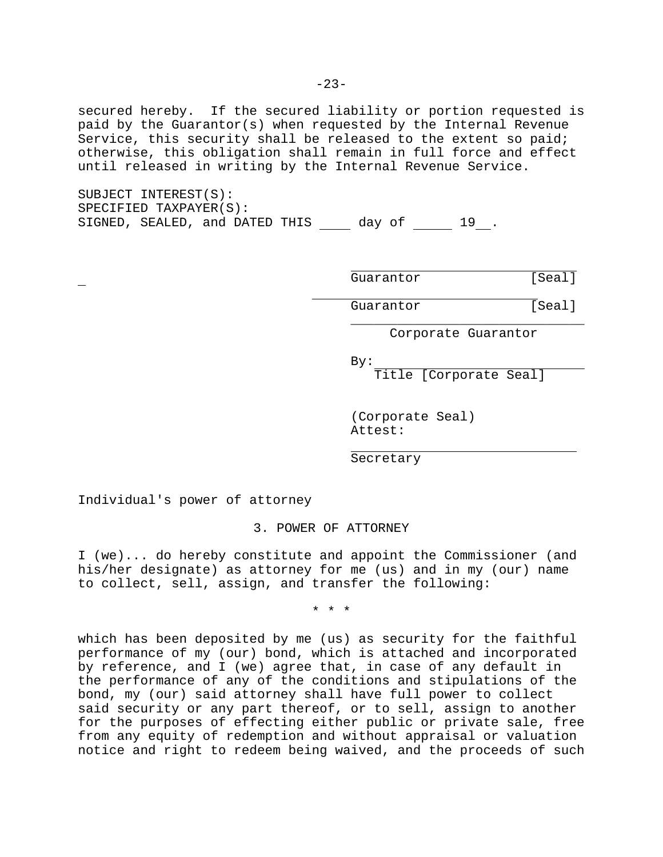secured hereby. If the secured liability or portion requested is paid by the Guarantor(s) when requested by the Internal Revenue Service, this security shall be released to the extent so paid; otherwise, this obligation shall remain in full force and effect until released in writing by the Internal Revenue Service.

SUBJECT INTEREST(S): SPECIFIED TAXPAYER(S): SIGNED, SEALED, and DATED THIS day of 19.

Guarantor [Seal]

Guarantor [Seal]

\_\_\_\_\_\_\_\_\_\_\_\_\_\_\_\_\_\_\_\_\_\_\_\_\_\_\_\_\_\_ Corporate Guarantor

By:

Title [Corporate Seal]

(Corporate Seal) Attest:

Secretary

Individual's power of attorney

3. POWER OF ATTORNEY

I (we)... do hereby constitute and appoint the Commissioner (and his/her designate) as attorney for me (us) and in my (our) name to collect, sell, assign, and transfer the following:

\*\*\*

which has been deposited by me (us) as security for the faithful performance of my (our) bond, which is attached and incorporated by reference, and I (we) agree that, in case of any default in the performance of any of the conditions and stipulations of the bond, my (our) said attorney shall have full power to collect said security or any part thereof, or to sell, assign to another for the purposes of effecting either public or private sale, free from any equity of redemption and without appraisal or valuation notice and right to redeem being waived, and the proceeds of such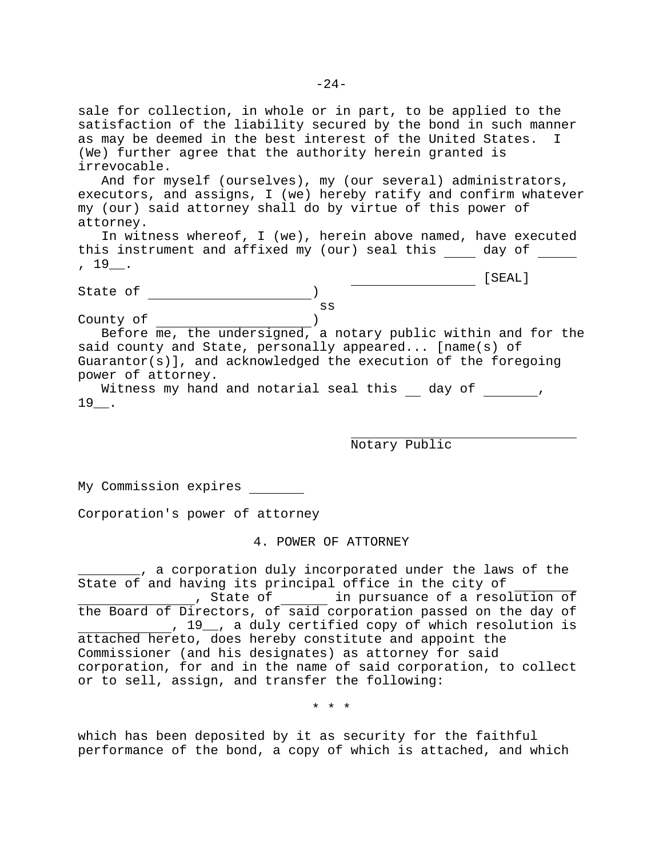sale for collection, in whole or in part, to be applied to the satisfaction of the liability secured by the bond in such manner as may be deemed in the best interest of the United States. I (We) further agree that the authority herein granted is irrevocable. And for myself (ourselves), my (our several) administrators,

executors, and assigns, I (we) hereby ratify and confirm whatever my (our) said attorney shall do by virtue of this power of attorney.

In witness whereof, I (we), herein above named, have executed this instrument and affixed my (our) seal this \_\_\_\_ day of \_\_\_\_\_ , 19\_\_.

State of )

| SEAL] |
|-------|
|       |

|  | v<br>×<br>٠<br>٠ |
|--|------------------|
|  |                  |
|  |                  |

County of ) Before me, the undersigned, a notary public within and for the said county and State, personally appeared... [name(s) of Guarantor(s)], and acknowledged the execution of the foregoing power of attorney. Witness my hand and notarial seal this day of ,

 $19$ .

Notary Public

My Commission expires

Corporation's power of attorney

4. POWER OF ATTORNEY

\_\_\_\_\_\_\_\_, a corporation duly incorporated under the laws of the State of and having its principal office in the city of , State of in pursuance of a resolution of the Board of Directors, of said corporation passed on the day of , 19\_\_, a duly certified copy of which resolution is attached hereto, does hereby constitute and appoint the Commissioner (and his designates) as attorney for said corporation, for and in the name of said corporation, to collect or to sell, assign, and transfer the following:

\*\*\*

which has been deposited by it as security for the faithful performance of the bond, a copy of which is attached, and which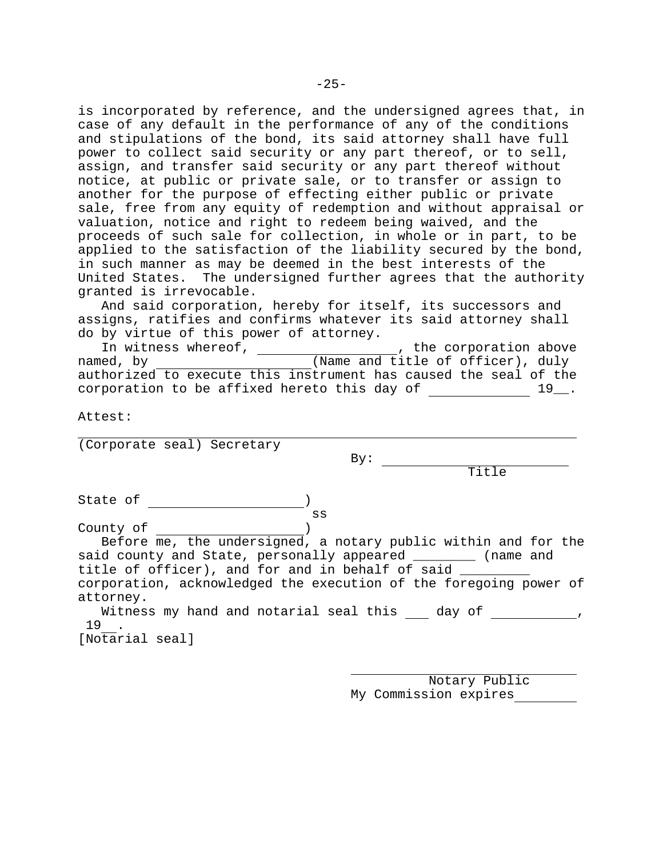is incorporated by reference, and the undersigned agrees that, in case of any default in the performance of any of the conditions and stipulations of the bond, its said attorney shall have full power to collect said security or any part thereof, or to sell, assign, and transfer said security or any part thereof without notice, at public or private sale, or to transfer or assign to another for the purpose of effecting either public or private sale, free from any equity of redemption and without appraisal or valuation, notice and right to redeem being waived, and the proceeds of such sale for collection, in whole or in part, to be applied to the satisfaction of the liability secured by the bond, in such manner as may be deemed in the best interests of the United States. The undersigned further agrees that the authority granted is irrevocable.

And said corporation, hereby for itself, its successors and assigns, ratifies and confirms whatever its said attorney shall do by virtue of this power of attorney.

In witness whereof, The Corporation above named, by (Name and title of officer), duly authorized to execute this instrument has caused the seal of the corporation to be affixed hereto this day of  $\frac{19}{19}$ .

Attest:

(Corporate seal) Secretary

By:

Title

State of )

ss County of )

Before me, the undersigned, a notary public within and for the said county and State, personally appeared \_\_\_\_\_\_\_\_ (name and title of officer), and for and in behalf of said \_\_\_\_\_\_\_\_\_\_\_\_\_\_\_\_\_\_\_\_\_\_\_\_\_\_\_\_\_\_\_\_ corporation, acknowledged the execution of the foregoing power of attorney. Witness my hand and notarial seal this day of \_\_\_\_\_\_\_\_\_\_,

19 .

[Notarial seal]

Notary Public My Commission expires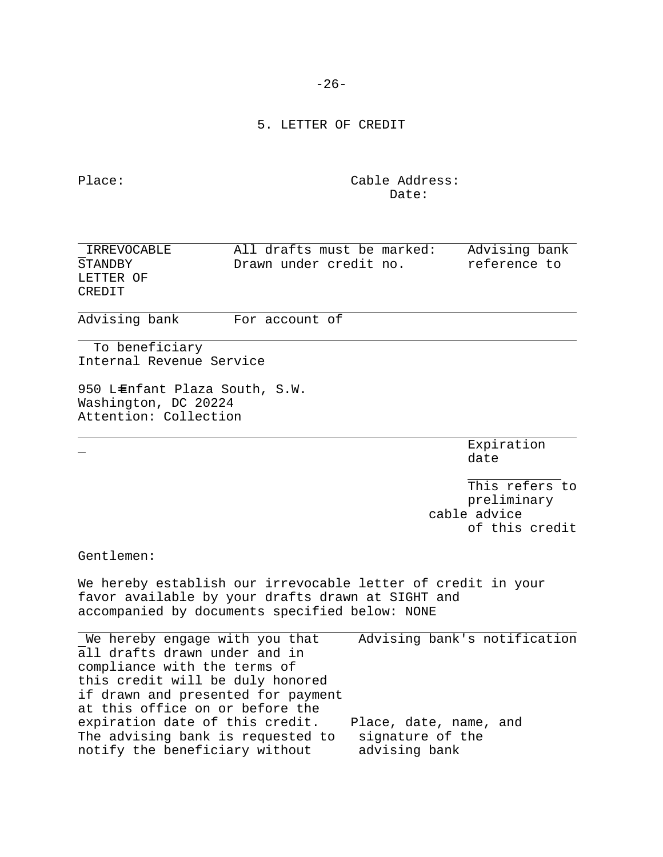-26-

5. LETTER OF CREDIT

Place: Cable Address: Date:

| IRREVOCABLE<br>STANDBY<br>LETTER OF<br>CREDIT                                                                                                                                                                                                                                                                          | All drafts must be marked:<br>Drawn under credit no. |                                   | Advising bank<br>reference to                                   |
|------------------------------------------------------------------------------------------------------------------------------------------------------------------------------------------------------------------------------------------------------------------------------------------------------------------------|------------------------------------------------------|-----------------------------------|-----------------------------------------------------------------|
| Advising bank                                                                                                                                                                                                                                                                                                          | For account of                                       |                                   |                                                                 |
| To beneficiary<br>Internal Revenue Service                                                                                                                                                                                                                                                                             |                                                      |                                   |                                                                 |
| 950 LEnfant Plaza South, S.W.<br>Washington, DC 20224<br>Attention: Collection                                                                                                                                                                                                                                         |                                                      |                                   |                                                                 |
|                                                                                                                                                                                                                                                                                                                        |                                                      |                                   | Expiration<br>date                                              |
|                                                                                                                                                                                                                                                                                                                        |                                                      |                                   | This refers to<br>preliminary<br>cable advice<br>of this credit |
| Gentlemen:                                                                                                                                                                                                                                                                                                             |                                                      |                                   |                                                                 |
| We hereby establish our irrevocable letter of credit in your<br>favor available by your drafts drawn at SIGHT and<br>accompanied by documents specified below: NONE                                                                                                                                                    |                                                      |                                   |                                                                 |
| We hereby engage with you that<br>all drafts drawn under and in<br>compliance with the terms of<br>this credit will be duly honored<br>if drawn and presented for payment<br>at this office on or before the<br>expiration date of this credit.<br>The advising bank is requested to<br>notify the beneficiary without |                                                      | signature of the<br>advising bank | Advising bank's notification<br>Place, date, name, and          |
|                                                                                                                                                                                                                                                                                                                        |                                                      |                                   |                                                                 |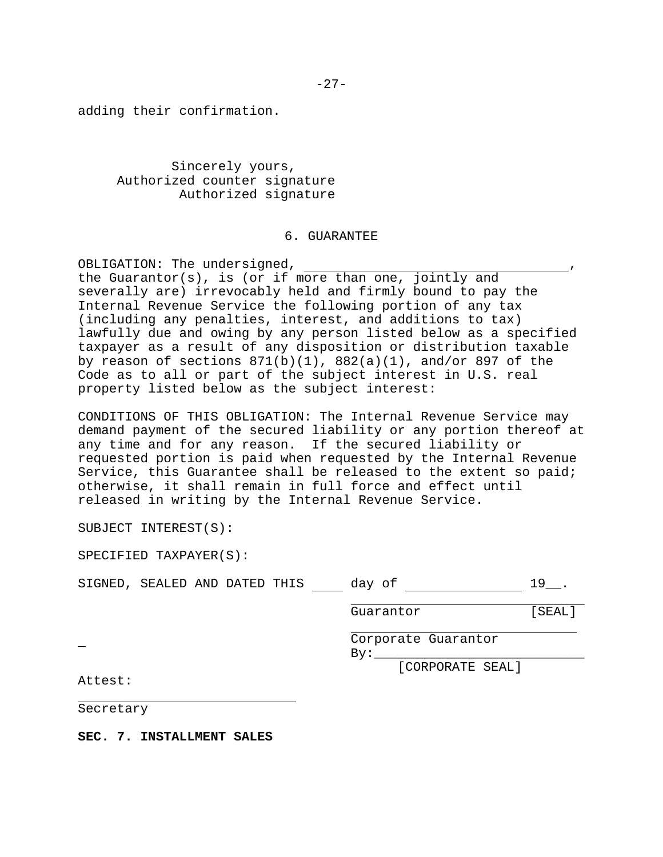adding their confirmation.

Sincerely yours, Authorized counter signature Authorized signature

## 6. GUARANTEE

OBLIGATION: The undersigned, ,

the Guarantor(s), is (or if more than one, jointly and severally are) irrevocably held and firmly bound to pay the Internal Revenue Service the following portion of any tax (including any penalties, interest, and additions to tax) lawfully due and owing by any person listed below as a specified taxpayer as a result of any disposition or distribution taxable by reason of sections  $871(b)(1)$ ,  $882(a)(1)$ , and/or  $897$  of the Code as to all or part of the subject interest in U.S. real property listed below as the subject interest:

CONDITIONS OF THIS OBLIGATION: The Internal Revenue Service may demand payment of the secured liability or any portion thereof at any time and for any reason. If the secured liability or requested portion is paid when requested by the Internal Revenue Service, this Guarantee shall be released to the extent so paid; otherwise, it shall remain in full force and effect until released in writing by the Internal Revenue Service.

SUBJECT INTEREST(S):

SPECIFIED TAXPAYER(S):

| SIGNED, SEALED AND DATED THIS |  |  |  | dav |  |  |  |
|-------------------------------|--|--|--|-----|--|--|--|
|-------------------------------|--|--|--|-----|--|--|--|

| Guarantor | [SEAL] |
|-----------|--------|
|           |        |

Corporate Guarantor By:\_\_\_\_\_\_\_\_\_\_\_\_\_\_\_\_\_\_\_\_\_\_\_\_\_\_\_

[CORPORATE SEAL]

Attest:

Secretary

**SEC. 7. INSTALLMENT SALES**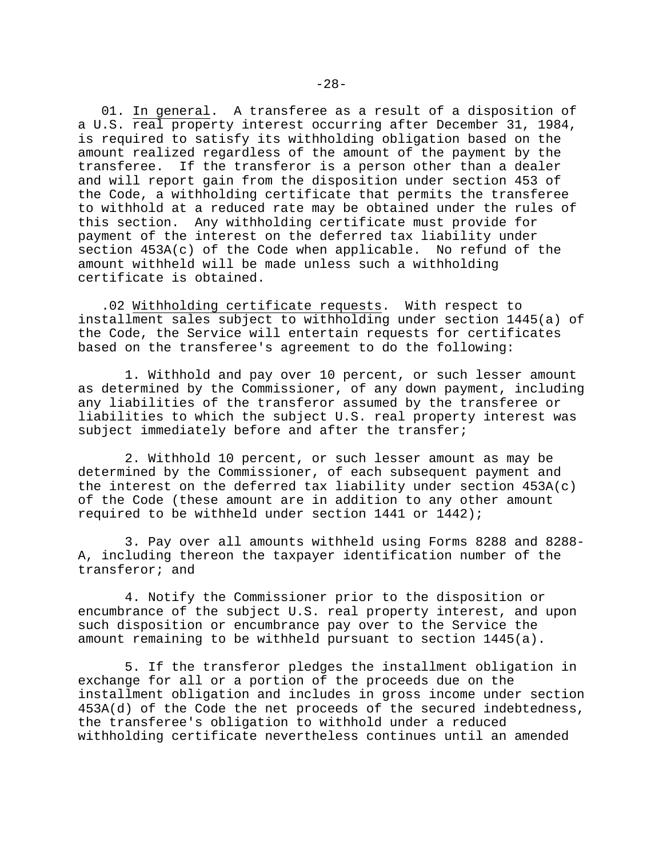01. In general. A transferee as a result of a disposition of a U.S. real property interest occurring after December 31, 1984, is required to satisfy its withholding obligation based on the amount realized regardless of the amount of the payment by the transferee. If the transferor is a person other than a dealer and will report gain from the disposition under section 453 of the Code, a withholding certificate that permits the transferee to withhold at a reduced rate may be obtained under the rules of this section. Any withholding certificate must provide for payment of the interest on the deferred tax liability under section 453A(c) of the Code when applicable. No refund of the amount withheld will be made unless such a withholding certificate is obtained.

.02 Withholding certificate requests. With respect to installment sales subject to withholding under section 1445(a) of the Code, the Service will entertain requests for certificates based on the transferee's agreement to do the following:

1. Withhold and pay over 10 percent, or such lesser amount as determined by the Commissioner, of any down payment, including any liabilities of the transferor assumed by the transferee or liabilities to which the subject U.S. real property interest was subject immediately before and after the transfer;

2. Withhold 10 percent, or such lesser amount as may be determined by the Commissioner, of each subsequent payment and the interest on the deferred tax liability under section  $453A(c)$ of the Code (these amount are in addition to any other amount required to be withheld under section 1441 or 1442);

3. Pay over all amounts withheld using Forms 8288 and 8288- A, including thereon the taxpayer identification number of the transferor; and

4. Notify the Commissioner prior to the disposition or encumbrance of the subject U.S. real property interest, and upon such disposition or encumbrance pay over to the Service the amount remaining to be withheld pursuant to section 1445(a).

5. If the transferor pledges the installment obligation in exchange for all or a portion of the proceeds due on the installment obligation and includes in gross income under section 453A(d) of the Code the net proceeds of the secured indebtedness, the transferee's obligation to withhold under a reduced withholding certificate nevertheless continues until an amended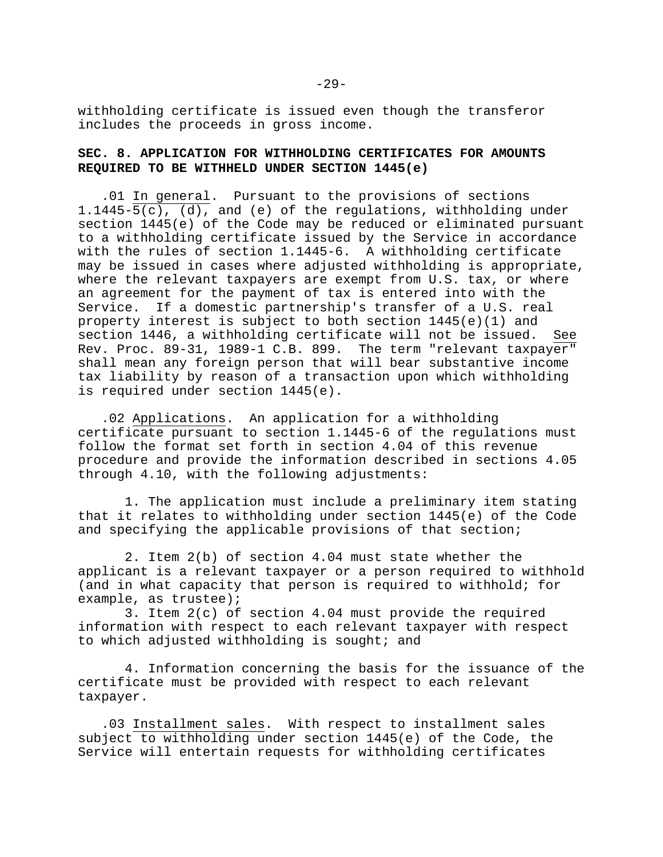withholding certificate is issued even though the transferor includes the proceeds in gross income.

## **SEC. 8. APPLICATION FOR WITHHOLDING CERTIFICATES FOR AMOUNTS REQUIRED TO BE WITHHELD UNDER SECTION 1445(e)**

.01 In general. Pursuant to the provisions of sections 1.1445- $\overline{5(c)}$ , (d), and (e) of the regulations, withholding under section 1445(e) of the Code may be reduced or eliminated pursuant to a withholding certificate issued by the Service in accordance with the rules of section 1.1445-6. A withholding certificate may be issued in cases where adjusted withholding is appropriate, where the relevant taxpayers are exempt from U.S. tax, or where an agreement for the payment of tax is entered into with the Service. If a domestic partnership's transfer of a U.S. real property interest is subject to both section 1445(e)(1) and section 1446, a withholding certificate will not be issued. See Rev. Proc. 89-31, 1989-1 C.B. 899. The term "relevant taxpayer" shall mean any foreign person that will bear substantive income tax liability by reason of a transaction upon which withholding is required under section 1445(e).

.02 Applications. An application for a withholding certificate pursuant to section 1.1445-6 of the regulations must follow the format set forth in section 4.04 of this revenue procedure and provide the information described in sections 4.05 through 4.10, with the following adjustments:

1. The application must include a preliminary item stating that it relates to withholding under section 1445(e) of the Code and specifying the applicable provisions of that section;

2. Item 2(b) of section 4.04 must state whether the applicant is a relevant taxpayer or a person required to withhold (and in what capacity that person is required to withhold; for example, as trustee);

3. Item 2(c) of section 4.04 must provide the required information with respect to each relevant taxpayer with respect to which adjusted withholding is sought; and

4. Information concerning the basis for the issuance of the certificate must be provided with respect to each relevant taxpayer.

.03 Installment sales. With respect to installment sales subject to withholding under section 1445(e) of the Code, the Service will entertain requests for withholding certificates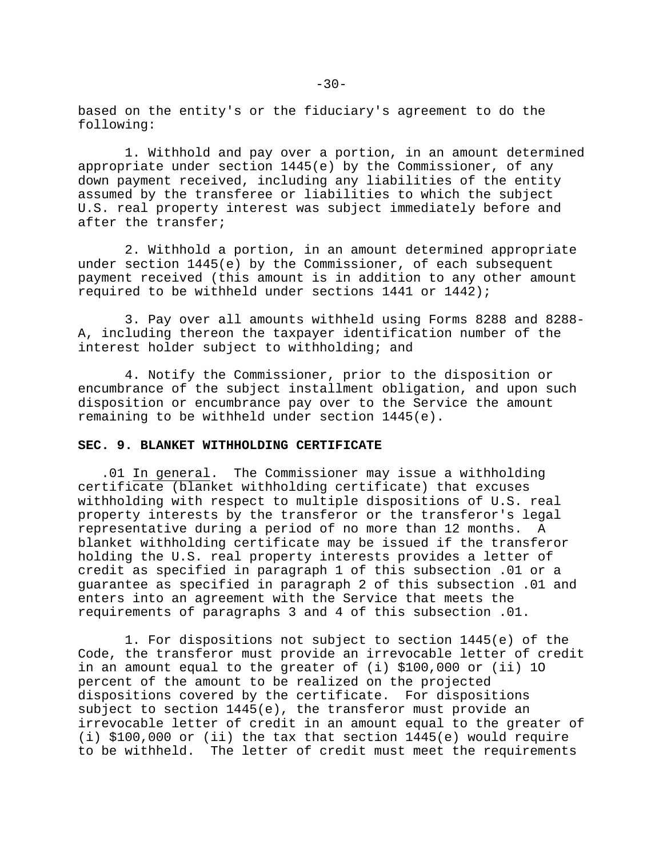based on the entity's or the fiduciary's agreement to do the following:

1. Withhold and pay over a portion, in an amount determined appropriate under section 1445(e) by the Commissioner, of any down payment received, including any liabilities of the entity assumed by the transferee or liabilities to which the subject U.S. real property interest was subject immediately before and after the transfer;

2. Withhold a portion, in an amount determined appropriate under section 1445(e) by the Commissioner, of each subsequent payment received (this amount is in addition to any other amount required to be withheld under sections 1441 or 1442);

3. Pay over all amounts withheld using Forms 8288 and 8288- A, including thereon the taxpayer identification number of the interest holder subject to withholding; and

4. Notify the Commissioner, prior to the disposition or encumbrance of the subject installment obligation, and upon such disposition or encumbrance pay over to the Service the amount remaining to be withheld under section 1445(e).

### **SEC. 9. BLANKET WITHHOLDING CERTIFICATE**

.01 In general. The Commissioner may issue a withholding certificate (blanket withholding certificate) that excuses withholding with respect to multiple dispositions of U.S. real property interests by the transferor or the transferor's legal representative during a period of no more than 12 months. A blanket withholding certificate may be issued if the transferor holding the U.S. real property interests provides a letter of credit as specified in paragraph 1 of this subsection .01 or a guarantee as specified in paragraph 2 of this subsection .01 and enters into an agreement with the Service that meets the requirements of paragraphs 3 and 4 of this subsection .01.

1. For dispositions not subject to section 1445(e) of the Code, the transferor must provide an irrevocable letter of credit in an amount equal to the greater of (i) \$100,000 or (ii) 1O percent of the amount to be realized on the projected dispositions covered by the certificate. For dispositions subject to section 1445(e), the transferor must provide an irrevocable letter of credit in an amount equal to the greater of (i) \$100,000 or (ii) the tax that section 1445(e) would require to be withheld. The letter of credit must meet the requirements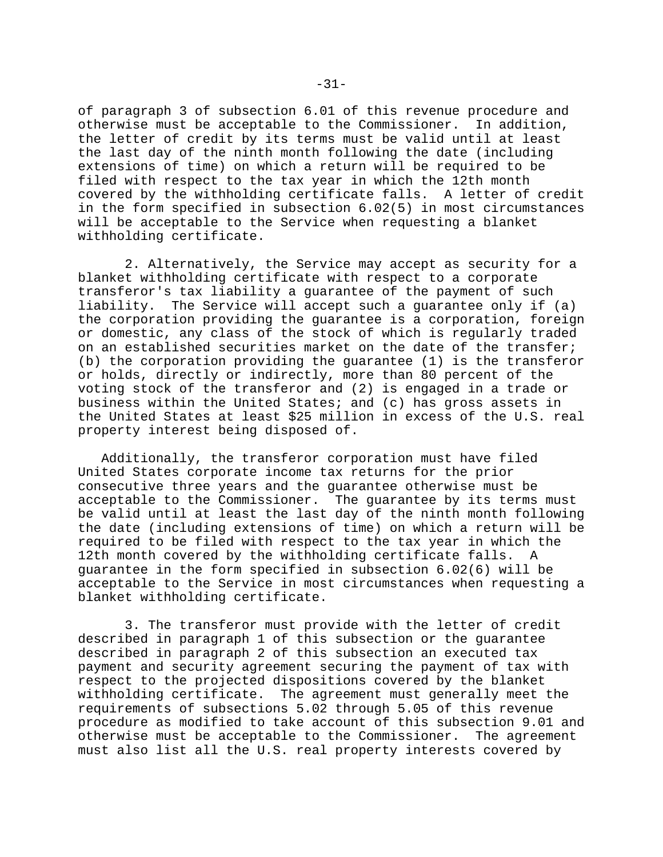of paragraph 3 of subsection 6.01 of this revenue procedure and otherwise must be acceptable to the Commissioner. In addition, the letter of credit by its terms must be valid until at least the last day of the ninth month following the date (including extensions of time) on which a return will be required to be filed with respect to the tax year in which the 12th month covered by the withholding certificate falls. A letter of credit in the form specified in subsection 6.02(5) in most circumstances will be acceptable to the Service when requesting a blanket withholding certificate.

2. Alternatively, the Service may accept as security for a blanket withholding certificate with respect to a corporate transferor's tax liability a guarantee of the payment of such liability. The Service will accept such a guarantee only if (a) the corporation providing the guarantee is a corporation, foreign or domestic, any class of the stock of which is regularly traded on an established securities market on the date of the transfer; (b) the corporation providing the guarantee (1) is the transferor or holds, directly or indirectly, more than 80 percent of the voting stock of the transferor and (2) is engaged in a trade or business within the United States; and (c) has gross assets in the United States at least \$25 million in excess of the U.S. real property interest being disposed of.

Additionally, the transferor corporation must have filed United States corporate income tax returns for the prior consecutive three years and the guarantee otherwise must be acceptable to the Commissioner. The guarantee by its terms must be valid until at least the last day of the ninth month following the date (including extensions of time) on which a return will be required to be filed with respect to the tax year in which the 12th month covered by the withholding certificate falls. A guarantee in the form specified in subsection 6.02(6) will be acceptable to the Service in most circumstances when requesting a blanket withholding certificate.

3. The transferor must provide with the letter of credit described in paragraph 1 of this subsection or the guarantee described in paragraph 2 of this subsection an executed tax payment and security agreement securing the payment of tax with respect to the projected dispositions covered by the blanket withholding certificate. The agreement must generally meet the requirements of subsections 5.02 through 5.05 of this revenue procedure as modified to take account of this subsection 9.01 and otherwise must be acceptable to the Commissioner. The agreement must also list all the U.S. real property interests covered by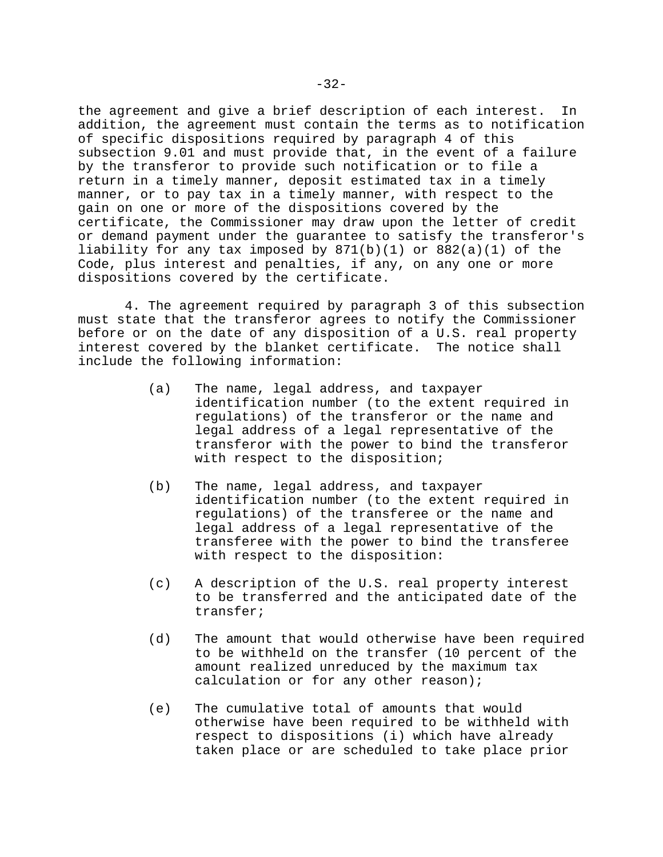the agreement and give a brief description of each interest. In addition, the agreement must contain the terms as to notification of specific dispositions required by paragraph 4 of this subsection 9.01 and must provide that, in the event of a failure by the transferor to provide such notification or to file a return in a timely manner, deposit estimated tax in a timely manner, or to pay tax in a timely manner, with respect to the gain on one or more of the dispositions covered by the certificate, the Commissioner may draw upon the letter of credit or demand payment under the guarantee to satisfy the transferor's liability for any tax imposed by 871(b)(1) or 882(a)(1) of the Code, plus interest and penalties, if any, on any one or more dispositions covered by the certificate.

4. The agreement required by paragraph 3 of this subsection must state that the transferor agrees to notify the Commissioner before or on the date of any disposition of a U.S. real property interest covered by the blanket certificate. The notice shall include the following information:

- (a) The name, legal address, and taxpayer identification number (to the extent required in regulations) of the transferor or the name and legal address of a legal representative of the transferor with the power to bind the transferor with respect to the disposition;
- (b) The name, legal address, and taxpayer identification number (to the extent required in regulations) of the transferee or the name and legal address of a legal representative of the transferee with the power to bind the transferee with respect to the disposition:
- (c) A description of the U.S. real property interest to be transferred and the anticipated date of the transfer;
- (d) The amount that would otherwise have been required to be withheld on the transfer (10 percent of the amount realized unreduced by the maximum tax calculation or for any other reason);
- (e) The cumulative total of amounts that would otherwise have been required to be withheld with respect to dispositions (i) which have already taken place or are scheduled to take place prior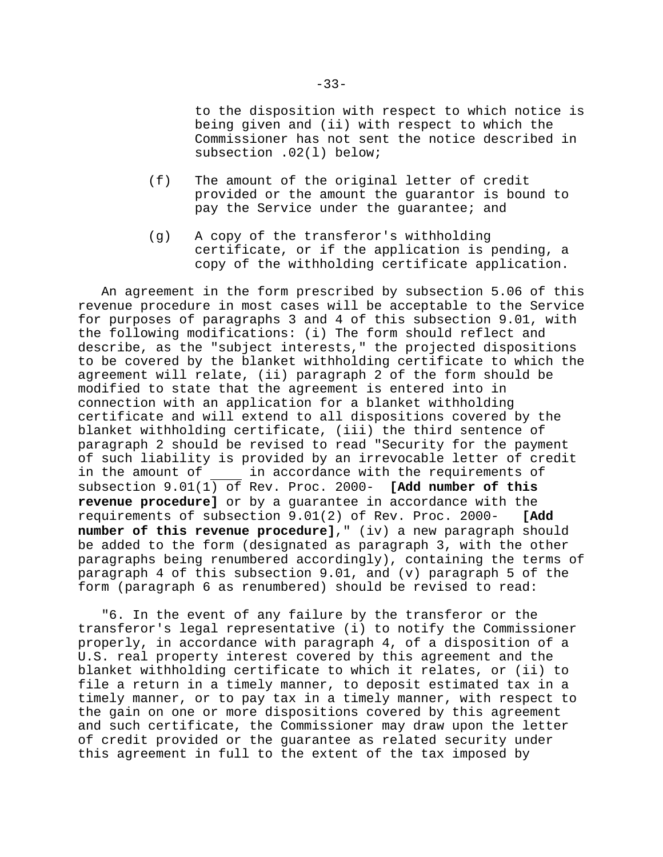to the disposition with respect to which notice is being given and (ii) with respect to which the Commissioner has not sent the notice described in subsection .02(l) below;

- (f) The amount of the original letter of credit provided or the amount the guarantor is bound to pay the Service under the guarantee; and
- (g) A copy of the transferor's withholding certificate, or if the application is pending, a copy of the withholding certificate application.

An agreement in the form prescribed by subsection 5.06 of this revenue procedure in most cases will be acceptable to the Service for purposes of paragraphs 3 and 4 of this subsection 9.01, with the following modifications: (i) The form should reflect and describe, as the "subject interests," the projected dispositions to be covered by the blanket withholding certificate to which the agreement will relate, (ii) paragraph 2 of the form should be modified to state that the agreement is entered into in connection with an application for a blanket withholding certificate and will extend to all dispositions covered by the blanket withholding certificate, (iii) the third sentence of paragraph 2 should be revised to read "Security for the payment of such liability is provided by an irrevocable letter of credit in the amount of \_\_\_\_\_ in accordance with the requirements of subsection 9.01(1) of Rev. Proc. 2000- **[Add number of this revenue procedure]** or by a guarantee in accordance with the requirements of subsection 9.01(2) of Rev. Proc. 2000- **[Add number of this revenue procedure]**," (iv) a new paragraph should be added to the form (designated as paragraph 3, with the other paragraphs being renumbered accordingly), containing the terms of paragraph 4 of this subsection 9.01, and (v) paragraph 5 of the form (paragraph 6 as renumbered) should be revised to read:

"6. In the event of any failure by the transferor or the transferor's legal representative (i) to notify the Commissioner properly, in accordance with paragraph 4, of a disposition of a U.S. real property interest covered by this agreement and the blanket withholding certificate to which it relates, or (ii) to file a return in a timely manner, to deposit estimated tax in a timely manner, or to pay tax in a timely manner, with respect to the gain on one or more dispositions covered by this agreement and such certificate, the Commissioner may draw upon the letter of credit provided or the guarantee as related security under this agreement in full to the extent of the tax imposed by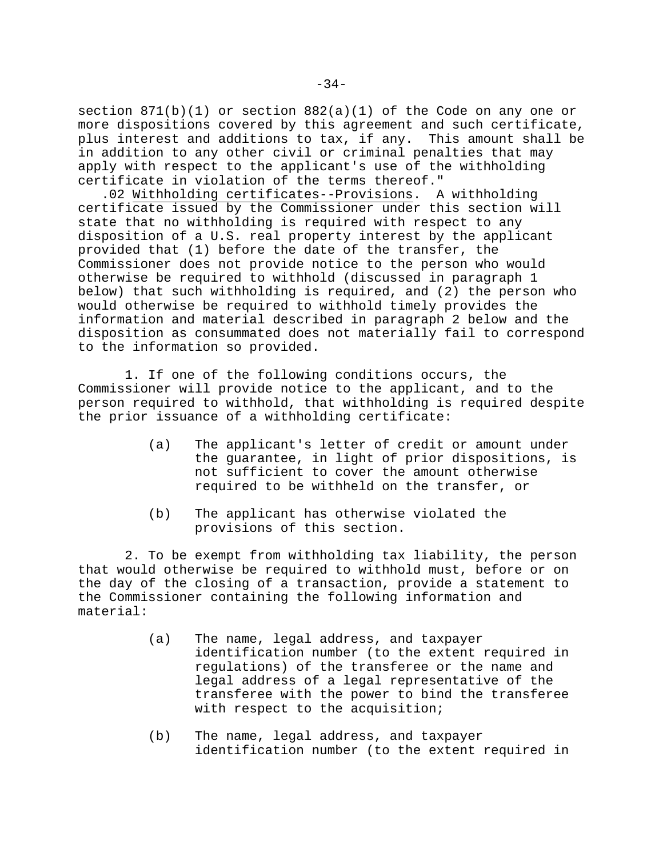section  $871(b)(1)$  or section  $882(a)(1)$  of the Code on any one or more dispositions covered by this agreement and such certificate, plus interest and additions to tax, if any. This amount shall be in addition to any other civil or criminal penalties that may apply with respect to the applicant's use of the withholding certificate in violation of the terms thereof."

.02 Withholding certificates--Provisions. A withholding certificate issued by the Commissioner under this section will state that no withholding is required with respect to any disposition of a U.S. real property interest by the applicant provided that (1) before the date of the transfer, the Commissioner does not provide notice to the person who would otherwise be required to withhold (discussed in paragraph 1 below) that such withholding is required, and (2) the person who would otherwise be required to withhold timely provides the information and material described in paragraph 2 below and the disposition as consummated does not materially fail to correspond to the information so provided.

1. If one of the following conditions occurs, the Commissioner will provide notice to the applicant, and to the person required to withhold, that withholding is required despite the prior issuance of a withholding certificate:

- (a) The applicant's letter of credit or amount under the guarantee, in light of prior dispositions, is not sufficient to cover the amount otherwise required to be withheld on the transfer, or
- (b) The applicant has otherwise violated the provisions of this section.

2. To be exempt from withholding tax liability, the person that would otherwise be required to withhold must, before or on the day of the closing of a transaction, provide a statement to the Commissioner containing the following information and material:

- (a) The name, legal address, and taxpayer identification number (to the extent required in regulations) of the transferee or the name and legal address of a legal representative of the transferee with the power to bind the transferee with respect to the acquisition;
- (b) The name, legal address, and taxpayer identification number (to the extent required in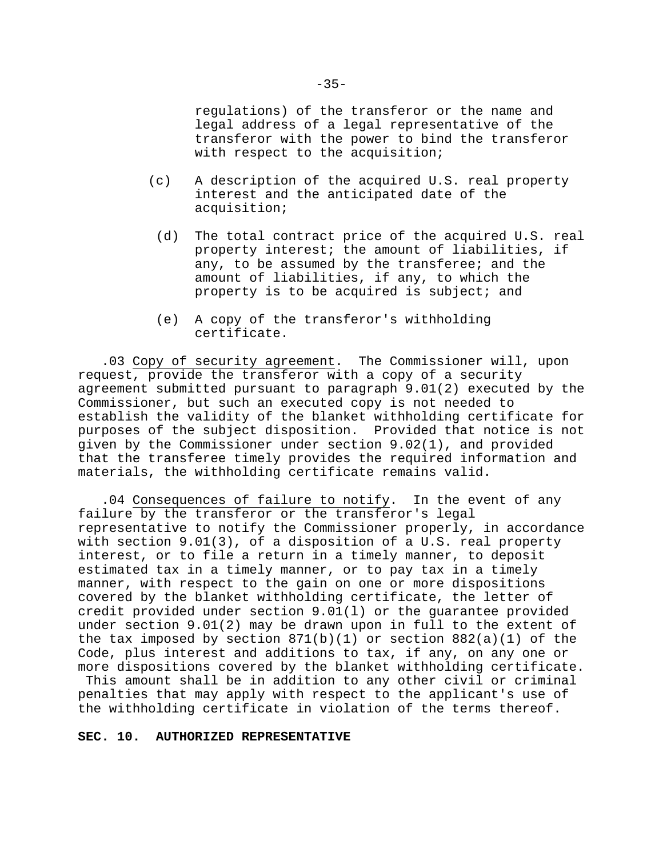regulations) of the transferor or the name and legal address of a legal representative of the transferor with the power to bind the transferor with respect to the acquisition;

- (c) A description of the acquired U.S. real property interest and the anticipated date of the acquisition;
	- (d) The total contract price of the acquired U.S. real property interest; the amount of liabilities, if any, to be assumed by the transferee; and the amount of liabilities, if any, to which the property is to be acquired is subject; and
	- (e) A copy of the transferor's withholding certificate.

.03 Copy of security agreement. The Commissioner will, upon request, provide the transferor with a copy of a security agreement submitted pursuant to paragraph 9.01(2) executed by the Commissioner, but such an executed copy is not needed to establish the validity of the blanket withholding certificate for purposes of the subject disposition. Provided that notice is not given by the Commissioner under section 9.02(1), and provided that the transferee timely provides the required information and materials, the withholding certificate remains valid.

.04 Consequences of failure to notify. In the event of any failure by the transferor or the transferor's legal representative to notify the Commissioner properly, in accordance with section 9.01(3), of a disposition of a U.S. real property interest, or to file a return in a timely manner, to deposit estimated tax in a timely manner, or to pay tax in a timely manner, with respect to the gain on one or more dispositions covered by the blanket withholding certificate, the letter of credit provided under section 9.01(l) or the guarantee provided under section 9.01(2) may be drawn upon in full to the extent of the tax imposed by section  $871(b)(1)$  or section  $882(a)(1)$  of the Code, plus interest and additions to tax, if any, on any one or more dispositions covered by the blanket withholding certificate. This amount shall be in addition to any other civil or criminal penalties that may apply with respect to the applicant's use of the withholding certificate in violation of the terms thereof.

### **SEC. 10. AUTHORIZED REPRESENTATIVE**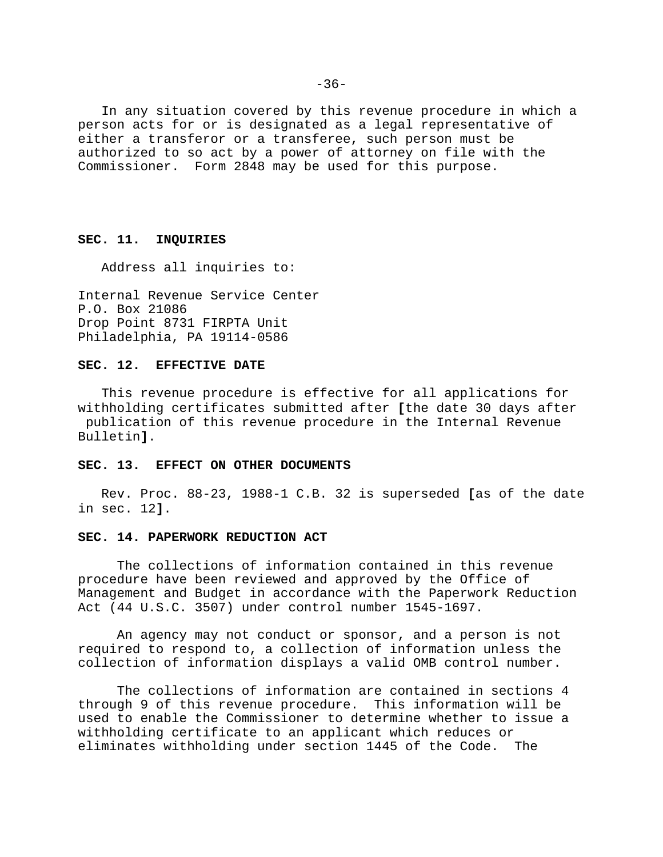In any situation covered by this revenue procedure in which a person acts for or is designated as a legal representative of either a transferor or a transferee, such person must be authorized to so act by a power of attorney on file with the Commissioner. Form 2848 may be used for this purpose.

## **SEC. 11. INQUIRIES**

Address all inquiries to:

Internal Revenue Service Center P.O. Box 21086 Drop Point 8731 FIRPTA Unit Philadelphia, PA 19114-0586

### **SEC. 12. EFFECTIVE DATE**

This revenue procedure is effective for all applications for withholding certificates submitted after **[**the date 30 days after publication of this revenue procedure in the Internal Revenue Bulletin**]**.

## **SEC. 13. EFFECT ON OTHER DOCUMENTS**

Rev. Proc. 88-23, 1988-1 C.B. 32 is superseded **[**as of the date in sec. 12**]**.

#### **SEC. 14. PAPERWORK REDUCTION ACT**

The collections of information contained in this revenue procedure have been reviewed and approved by the Office of Management and Budget in accordance with the Paperwork Reduction Act (44 U.S.C. 3507) under control number 1545-1697.

An agency may not conduct or sponsor, and a person is not required to respond to, a collection of information unless the collection of information displays a valid OMB control number.

The collections of information are contained in sections 4 through 9 of this revenue procedure. This information will be used to enable the Commissioner to determine whether to issue a withholding certificate to an applicant which reduces or eliminates withholding under section 1445 of the Code. The